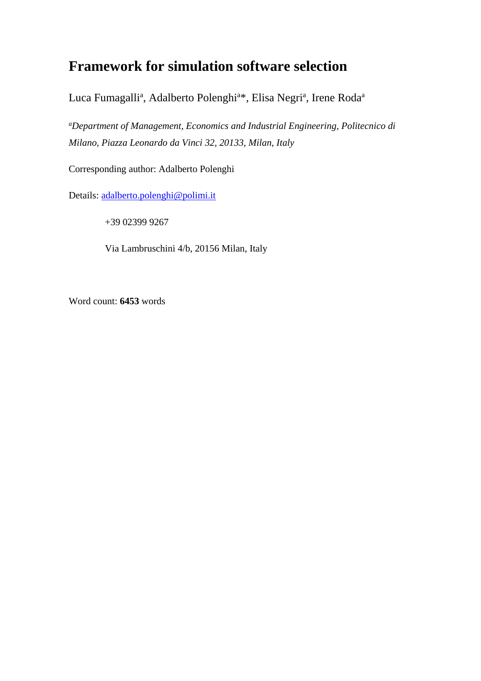# **Framework for simulation software selection**

Luca Fumagalli<sup>a</sup>, Adalberto Polenghi<sup>a\*</sup>, Elisa Negri<sup>a</sup>, Irene Roda<sup>a</sup>

*a Department of Management, Economics and Industrial Engineering, Politecnico di Milano, Piazza Leonardo da Vinci 32, 20133, Milan, Italy*

Corresponding author: Adalberto Polenghi

Details: [adalberto.polenghi@polimi.it](mailto:adalberto.polenghi@polimi.it)

+39 02399 9267

Via Lambruschini 4/b, 20156 Milan, Italy

Word count: **6453** words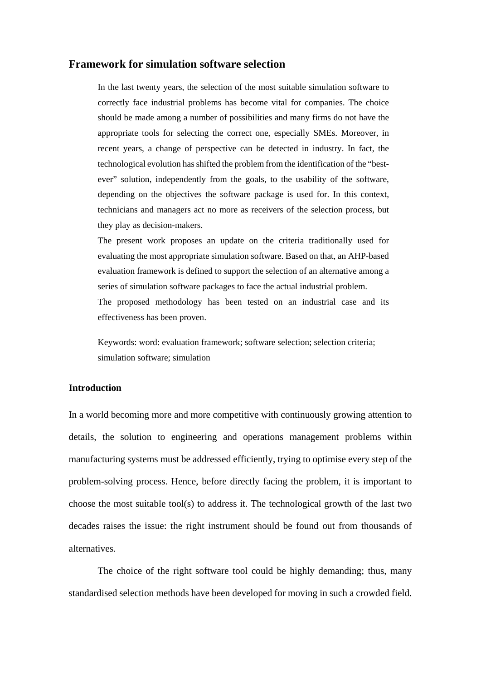### **Framework for simulation software selection**

In the last twenty years, the selection of the most suitable simulation software to correctly face industrial problems has become vital for companies. The choice should be made among a number of possibilities and many firms do not have the appropriate tools for selecting the correct one, especially SMEs. Moreover, in recent years, a change of perspective can be detected in industry. In fact, the technological evolution has shifted the problem from the identification of the "bestever" solution, independently from the goals, to the usability of the software, depending on the objectives the software package is used for. In this context, technicians and managers act no more as receivers of the selection process, but they play as decision-makers.

The present work proposes an update on the criteria traditionally used for evaluating the most appropriate simulation software. Based on that, an AHP-based evaluation framework is defined to support the selection of an alternative among a series of simulation software packages to face the actual industrial problem.

The proposed methodology has been tested on an industrial case and its effectiveness has been proven.

Keywords: word: evaluation framework; software selection; selection criteria; simulation software; simulation

## **Introduction**

In a world becoming more and more competitive with continuously growing attention to details, the solution to engineering and operations management problems within manufacturing systems must be addressed efficiently, trying to optimise every step of the problem-solving process. Hence, before directly facing the problem, it is important to choose the most suitable tool(s) to address it. The technological growth of the last two decades raises the issue: the right instrument should be found out from thousands of alternatives.

The choice of the right software tool could be highly demanding; thus, many standardised selection methods have been developed for moving in such a crowded field.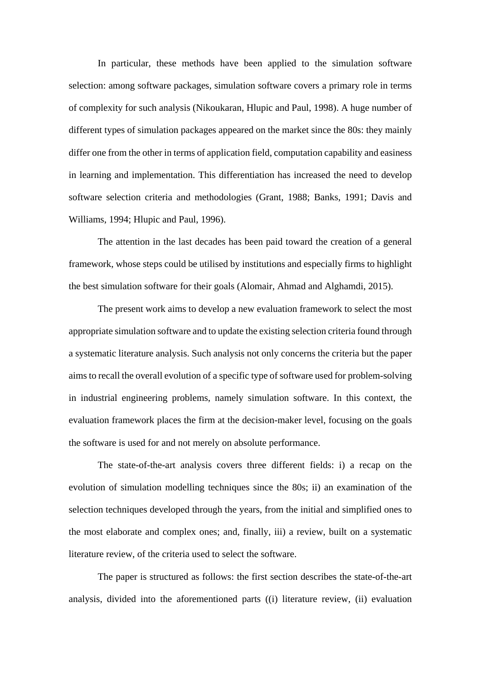In particular, these methods have been applied to the simulation software selection: among software packages, simulation software covers a primary role in terms of complexity for such analysis (Nikoukaran, Hlupic and Paul, 1998). A huge number of different types of simulation packages appeared on the market since the 80s: they mainly differ one from the other in terms of application field, computation capability and easiness in learning and implementation. This differentiation has increased the need to develop software selection criteria and methodologies (Grant, 1988; Banks, 1991; Davis and Williams, 1994; Hlupic and Paul, 1996).

The attention in the last decades has been paid toward the creation of a general framework, whose steps could be utilised by institutions and especially firms to highlight the best simulation software for their goals (Alomair, Ahmad and Alghamdi, 2015).

The present work aims to develop a new evaluation framework to select the most appropriate simulation software and to update the existing selection criteria found through a systematic literature analysis. Such analysis not only concerns the criteria but the paper aims to recall the overall evolution of a specific type of software used for problem-solving in industrial engineering problems, namely simulation software. In this context, the evaluation framework places the firm at the decision-maker level, focusing on the goals the software is used for and not merely on absolute performance.

The state-of-the-art analysis covers three different fields: i) a recap on the evolution of simulation modelling techniques since the 80s; ii) an examination of the selection techniques developed through the years, from the initial and simplified ones to the most elaborate and complex ones; and, finally, iii) a review, built on a systematic literature review, of the criteria used to select the software.

The paper is structured as follows: the first section describes the state-of-the-art analysis, divided into the aforementioned parts ((i) literature review, (ii) evaluation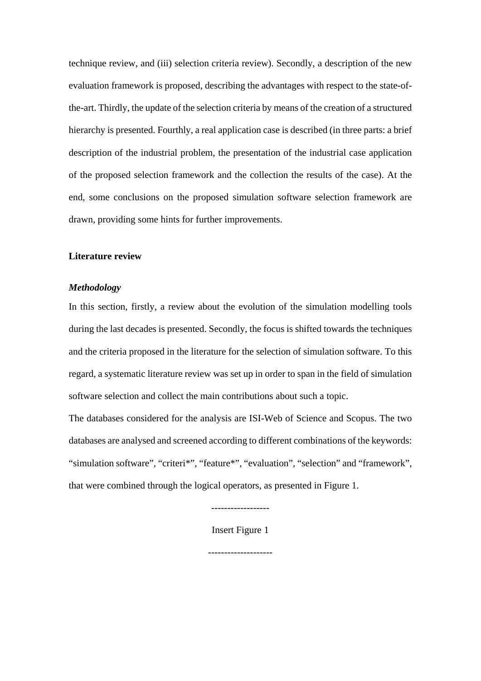technique review, and (iii) selection criteria review). Secondly, a description of the new evaluation framework is proposed, describing the advantages with respect to the state-ofthe-art. Thirdly, the update of the selection criteria by means of the creation of a structured hierarchy is presented. Fourthly, a real application case is described (in three parts: a brief description of the industrial problem, the presentation of the industrial case application of the proposed selection framework and the collection the results of the case). At the end, some conclusions on the proposed simulation software selection framework are drawn, providing some hints for further improvements.

#### **Literature review**

#### *Methodology*

In this section, firstly, a review about the evolution of the simulation modelling tools during the last decades is presented. Secondly, the focus is shifted towards the techniques and the criteria proposed in the literature for the selection of simulation software. To this regard, a systematic literature review was set up in order to span in the field of simulation software selection and collect the main contributions about such a topic.

The databases considered for the analysis are ISI-Web of Science and Scopus. The two databases are analysed and screened according to different combinations of the keywords: "simulation software", "criteri\*", "feature\*", "evaluation", "selection" and "framework", that were combined through the logical operators, as presented in Figure 1.

------------------

Insert Figure 1

--------------------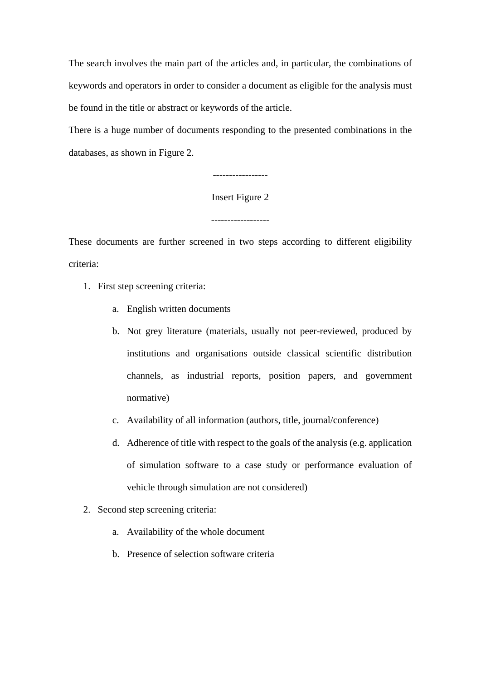The search involves the main part of the articles and, in particular, the combinations of keywords and operators in order to consider a document as eligible for the analysis must be found in the title or abstract or keywords of the article.

There is a huge number of documents responding to the presented combinations in the databases, as shown in Figure 2.

-----------------

Insert Figure 2

------------------

These documents are further screened in two steps according to different eligibility criteria:

- 1. First step screening criteria:
	- a. English written documents
	- b. Not grey literature (materials, usually not peer-reviewed, produced by institutions and organisations outside classical scientific distribution channels, as industrial reports, position papers, and government normative)
	- c. Availability of all information (authors, title, journal/conference)
	- d. Adherence of title with respect to the goals of the analysis (e.g. application of simulation software to a case study or performance evaluation of vehicle through simulation are not considered)
- 2. Second step screening criteria:
	- a. Availability of the whole document
	- b. Presence of selection software criteria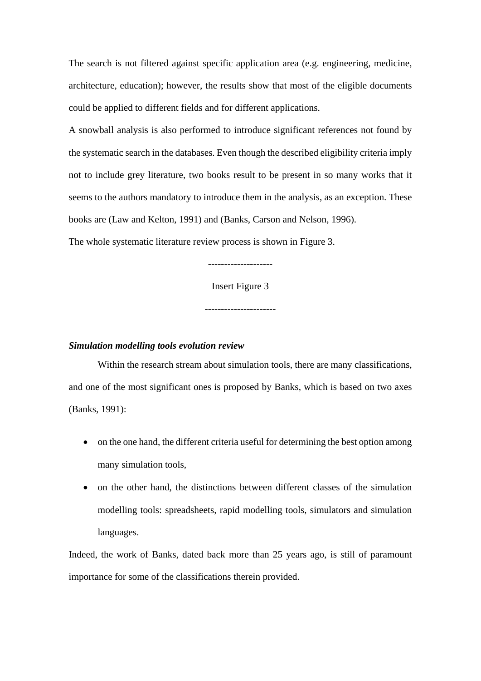The search is not filtered against specific application area (e.g. engineering, medicine, architecture, education); however, the results show that most of the eligible documents could be applied to different fields and for different applications.

A snowball analysis is also performed to introduce significant references not found by the systematic search in the databases. Even though the described eligibility criteria imply not to include grey literature, two books result to be present in so many works that it seems to the authors mandatory to introduce them in the analysis, as an exception. These books are (Law and Kelton, 1991) and (Banks, Carson and Nelson, 1996).

The whole systematic literature review process is shown in Figure 3.

Insert Figure 3

--------------------

----------------------

#### *Simulation modelling tools evolution review*

Within the research stream about simulation tools, there are many classifications, and one of the most significant ones is proposed by Banks, which is based on two axes (Banks, 1991):

- on the one hand, the different criteria useful for determining the best option among many simulation tools,
- on the other hand, the distinctions between different classes of the simulation modelling tools: spreadsheets, rapid modelling tools, simulators and simulation languages.

Indeed, the work of Banks, dated back more than 25 years ago, is still of paramount importance for some of the classifications therein provided.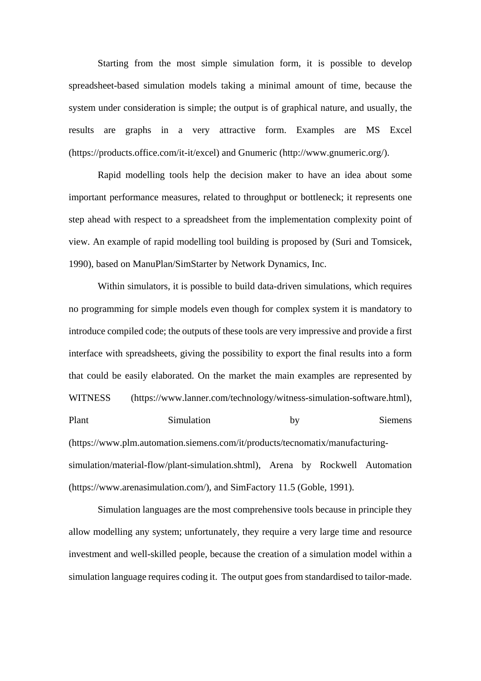Starting from the most simple simulation form, it is possible to develop spreadsheet-based simulation models taking a minimal amount of time, because the system under consideration is simple; the output is of graphical nature, and usually, the results are graphs in a very attractive form. Examples are MS Excel (https://products.office.com/it-it/excel) and Gnumeric (http://www.gnumeric.org/).

Rapid modelling tools help the decision maker to have an idea about some important performance measures, related to throughput or bottleneck; it represents one step ahead with respect to a spreadsheet from the implementation complexity point of view. An example of rapid modelling tool building is proposed by (Suri and Tomsicek, 1990), based on ManuPlan/SimStarter by Network Dynamics, Inc.

Within simulators, it is possible to build data-driven simulations, which requires no programming for simple models even though for complex system it is mandatory to introduce compiled code; the outputs of these tools are very impressive and provide a first interface with spreadsheets, giving the possibility to export the final results into a form that could be easily elaborated. On the market the main examples are represented by WITNESS (https://www.lanner.com/technology/witness-simulation-software.html), Plant Simulation by Siemens (https://www.plm.automation.siemens.com/it/products/tecnomatix/manufacturingsimulation/material-flow/plant-simulation.shtml), Arena by Rockwell Automation (https://www.arenasimulation.com/), and SimFactory 11.5 (Goble, 1991).

Simulation languages are the most comprehensive tools because in principle they allow modelling any system; unfortunately, they require a very large time and resource investment and well-skilled people, because the creation of a simulation model within a simulation language requires coding it. The output goes from standardised to tailor-made.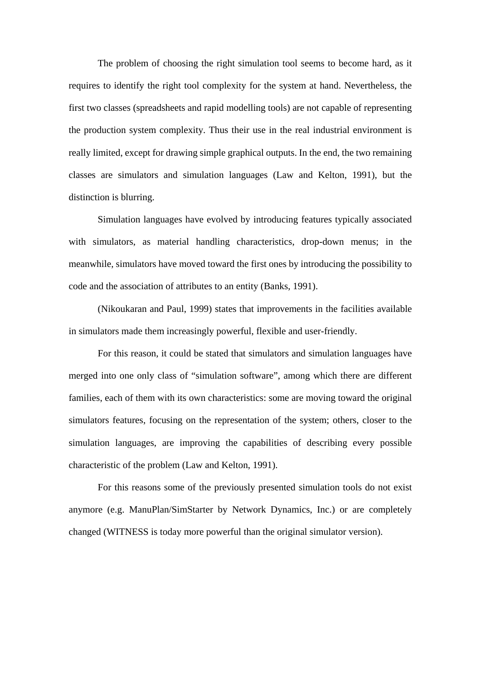The problem of choosing the right simulation tool seems to become hard, as it requires to identify the right tool complexity for the system at hand. Nevertheless, the first two classes (spreadsheets and rapid modelling tools) are not capable of representing the production system complexity. Thus their use in the real industrial environment is really limited, except for drawing simple graphical outputs. In the end, the two remaining classes are simulators and simulation languages (Law and Kelton, 1991), but the distinction is blurring.

Simulation languages have evolved by introducing features typically associated with simulators, as material handling characteristics, drop-down menus; in the meanwhile, simulators have moved toward the first ones by introducing the possibility to code and the association of attributes to an entity (Banks, 1991).

(Nikoukaran and Paul, 1999) states that improvements in the facilities available in simulators made them increasingly powerful, flexible and user-friendly.

For this reason, it could be stated that simulators and simulation languages have merged into one only class of "simulation software", among which there are different families, each of them with its own characteristics: some are moving toward the original simulators features, focusing on the representation of the system; others, closer to the simulation languages, are improving the capabilities of describing every possible characteristic of the problem (Law and Kelton, 1991).

For this reasons some of the previously presented simulation tools do not exist anymore (e.g. ManuPlan/SimStarter by Network Dynamics, Inc.) or are completely changed (WITNESS is today more powerful than the original simulator version).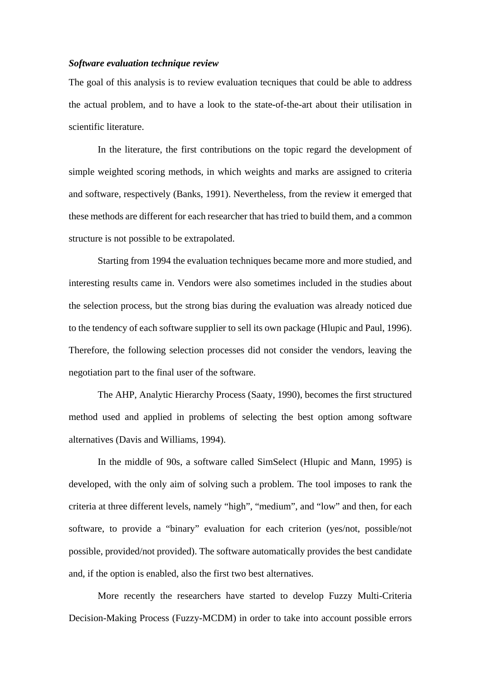#### *Software evaluation technique review*

The goal of this analysis is to review evaluation tecniques that could be able to address the actual problem, and to have a look to the state-of-the-art about their utilisation in scientific literature.

In the literature, the first contributions on the topic regard the development of simple weighted scoring methods, in which weights and marks are assigned to criteria and software, respectively (Banks, 1991). Nevertheless, from the review it emerged that these methods are different for each researcher that has tried to build them, and a common structure is not possible to be extrapolated.

Starting from 1994 the evaluation techniques became more and more studied, and interesting results came in. Vendors were also sometimes included in the studies about the selection process, but the strong bias during the evaluation was already noticed due to the tendency of each software supplier to sell its own package (Hlupic and Paul, 1996). Therefore, the following selection processes did not consider the vendors, leaving the negotiation part to the final user of the software.

The AHP, Analytic Hierarchy Process (Saaty, 1990), becomes the first structured method used and applied in problems of selecting the best option among software alternatives (Davis and Williams, 1994).

In the middle of 90s, a software called SimSelect (Hlupic and Mann, 1995) is developed, with the only aim of solving such a problem. The tool imposes to rank the criteria at three different levels, namely "high", "medium", and "low" and then, for each software, to provide a "binary" evaluation for each criterion (yes/not, possible/not possible, provided/not provided). The software automatically provides the best candidate and, if the option is enabled, also the first two best alternatives.

More recently the researchers have started to develop Fuzzy Multi-Criteria Decision-Making Process (Fuzzy-MCDM) in order to take into account possible errors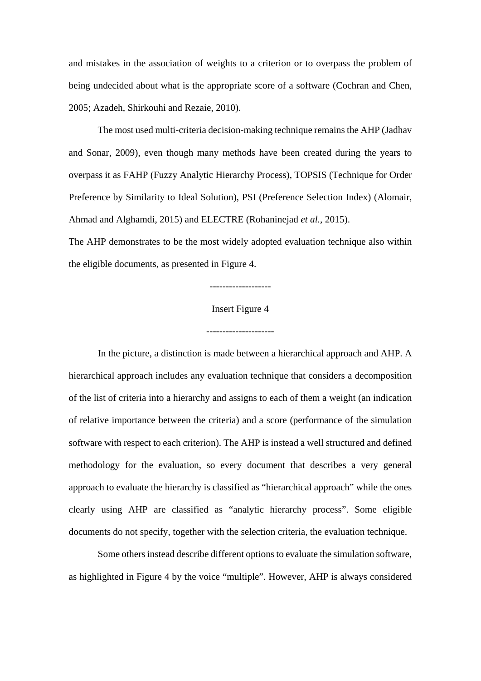and mistakes in the association of weights to a criterion or to overpass the problem of being undecided about what is the appropriate score of a software (Cochran and Chen, 2005; Azadeh, Shirkouhi and Rezaie, 2010).

The most used multi-criteria decision-making technique remains the AHP (Jadhav and Sonar, 2009), even though many methods have been created during the years to overpass it as FAHP (Fuzzy Analytic Hierarchy Process), TOPSIS (Technique for Order Preference by Similarity to Ideal Solution), PSI (Preference Selection Index) (Alomair, Ahmad and Alghamdi, 2015) and ELECTRE (Rohaninejad *et al.*, 2015).

The AHP demonstrates to be the most widely adopted evaluation technique also within the eligible documents, as presented in Figure 4.

## Insert Figure 4

-------------------

---------------------

In the picture, a distinction is made between a hierarchical approach and AHP. A hierarchical approach includes any evaluation technique that considers a decomposition of the list of criteria into a hierarchy and assigns to each of them a weight (an indication of relative importance between the criteria) and a score (performance of the simulation software with respect to each criterion). The AHP is instead a well structured and defined methodology for the evaluation, so every document that describes a very general approach to evaluate the hierarchy is classified as "hierarchical approach" while the ones clearly using AHP are classified as "analytic hierarchy process". Some eligible documents do not specify, together with the selection criteria, the evaluation technique.

Some others instead describe different options to evaluate the simulation software, as highlighted in Figure 4 by the voice "multiple". However, AHP is always considered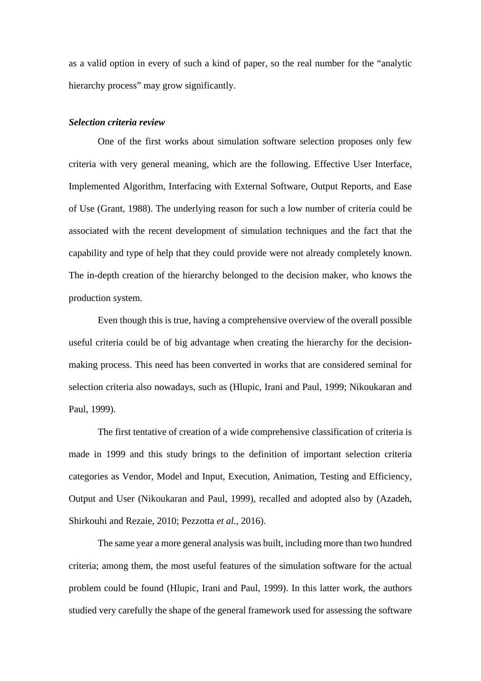as a valid option in every of such a kind of paper, so the real number for the "analytic hierarchy process" may grow significantly.

#### *Selection criteria review*

One of the first works about simulation software selection proposes only few criteria with very general meaning, which are the following. Effective User Interface, Implemented Algorithm, Interfacing with External Software, Output Reports, and Ease of Use (Grant, 1988). The underlying reason for such a low number of criteria could be associated with the recent development of simulation techniques and the fact that the capability and type of help that they could provide were not already completely known. The in-depth creation of the hierarchy belonged to the decision maker, who knows the production system.

Even though this is true, having a comprehensive overview of the overall possible useful criteria could be of big advantage when creating the hierarchy for the decisionmaking process. This need has been converted in works that are considered seminal for selection criteria also nowadays, such as (Hlupic, Irani and Paul, 1999; Nikoukaran and Paul, 1999).

The first tentative of creation of a wide comprehensive classification of criteria is made in 1999 and this study brings to the definition of important selection criteria categories as Vendor, Model and Input, Execution, Animation, Testing and Efficiency, Output and User (Nikoukaran and Paul, 1999), recalled and adopted also by (Azadeh, Shirkouhi and Rezaie, 2010; Pezzotta *et al.*, 2016).

The same year a more general analysis was built, including more than two hundred criteria; among them, the most useful features of the simulation software for the actual problem could be found (Hlupic, Irani and Paul, 1999). In this latter work, the authors studied very carefully the shape of the general framework used for assessing the software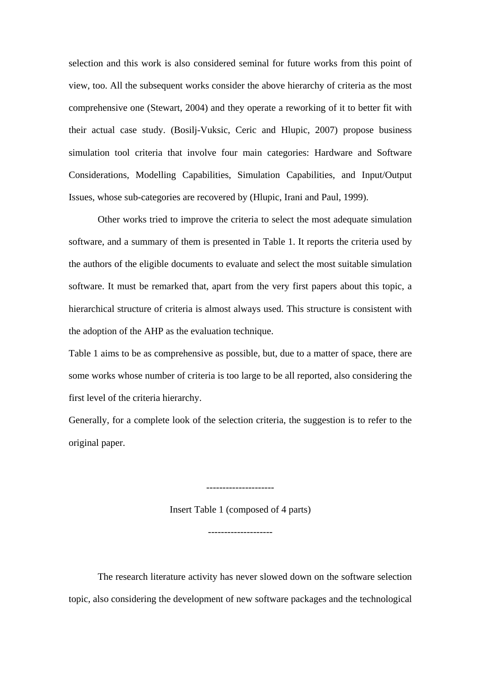selection and this work is also considered seminal for future works from this point of view, too. All the subsequent works consider the above hierarchy of criteria as the most comprehensive one (Stewart, 2004) and they operate a reworking of it to better fit with their actual case study. (Bosilj-Vuksic, Ceric and Hlupic, 2007) propose business simulation tool criteria that involve four main categories: Hardware and Software Considerations, Modelling Capabilities, Simulation Capabilities, and Input/Output Issues, whose sub-categories are recovered by (Hlupic, Irani and Paul, 1999).

Other works tried to improve the criteria to select the most adequate simulation software, and a summary of them is presented in Table 1. It reports the criteria used by the authors of the eligible documents to evaluate and select the most suitable simulation software. It must be remarked that, apart from the very first papers about this topic, a hierarchical structure of criteria is almost always used. This structure is consistent with the adoption of the AHP as the evaluation technique.

Table 1 aims to be as comprehensive as possible, but, due to a matter of space, there are some works whose number of criteria is too large to be all reported, also considering the first level of the criteria hierarchy.

Generally, for a complete look of the selection criteria, the suggestion is to refer to the original paper.

Insert Table 1 (composed of 4 parts)

--------------------

---------------------

The research literature activity has never slowed down on the software selection topic, also considering the development of new software packages and the technological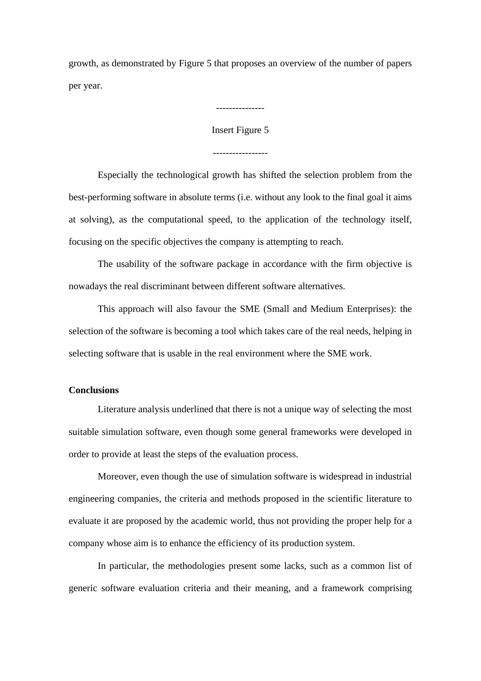growth, as demonstrated by Figure 5 that proposes an overview of the number of papers per year.

Insert Figure 5

-----------------

---------------

Especially the technological growth has shifted the selection problem from the best-performing software in absolute terms (i.e. without any look to the final goal it aims at solving), as the computational speed, to the application of the technology itself,

focusing on the specific objectives the company is attempting to reach.

The usability of the software package in accordance with the firm objective is nowadays the real discriminant between different software alternatives.

This approach will also favour the SME (Small and Medium Enterprises): the selection of the software is becoming a tool which takes care of the real needs, helping in selecting software that is usable in the real environment where the SME work.

#### **Conclusions**

Literature analysis underlined that there is not a unique way of selecting the most suitable simulation software, even though some general frameworks were developed in order to provide at least the steps of the evaluation process.

Moreover, even though the use of simulation software is widespread in industrial engineering companies, the criteria and methods proposed in the scientific literature to evaluate it are proposed by the academic world, thus not providing the proper help for a company whose aim is to enhance the efficiency of its production system.

In particular, the methodologies present some lacks, such as a common list of generic software evaluation criteria and their meaning, and a framework comprising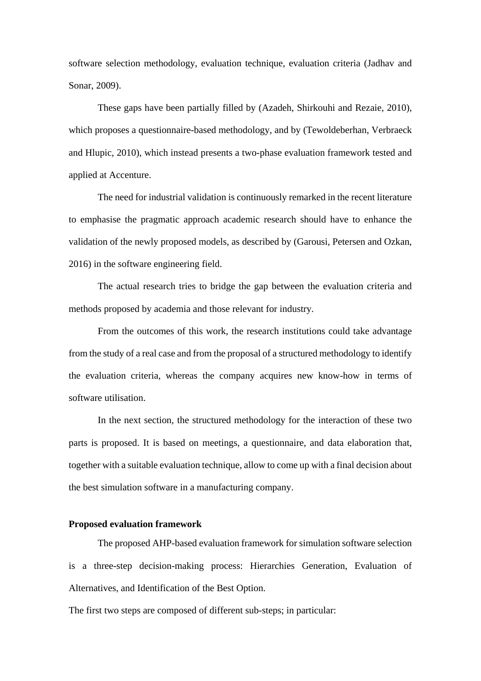software selection methodology, evaluation technique, evaluation criteria (Jadhav and Sonar, 2009).

These gaps have been partially filled by (Azadeh, Shirkouhi and Rezaie, 2010), which proposes a questionnaire-based methodology, and by (Tewoldeberhan, Verbraeck and Hlupic, 2010), which instead presents a two-phase evaluation framework tested and applied at Accenture.

The need for industrial validation is continuously remarked in the recent literature to emphasise the pragmatic approach academic research should have to enhance the validation of the newly proposed models, as described by (Garousi, Petersen and Ozkan, 2016) in the software engineering field.

The actual research tries to bridge the gap between the evaluation criteria and methods proposed by academia and those relevant for industry.

From the outcomes of this work, the research institutions could take advantage from the study of a real case and from the proposal of a structured methodology to identify the evaluation criteria, whereas the company acquires new know-how in terms of software utilisation.

In the next section, the structured methodology for the interaction of these two parts is proposed. It is based on meetings, a questionnaire, and data elaboration that, together with a suitable evaluation technique, allow to come up with a final decision about the best simulation software in a manufacturing company.

#### **Proposed evaluation framework**

The proposed AHP-based evaluation framework for simulation software selection is a three-step decision-making process: Hierarchies Generation, Evaluation of Alternatives, and Identification of the Best Option.

The first two steps are composed of different sub-steps; in particular: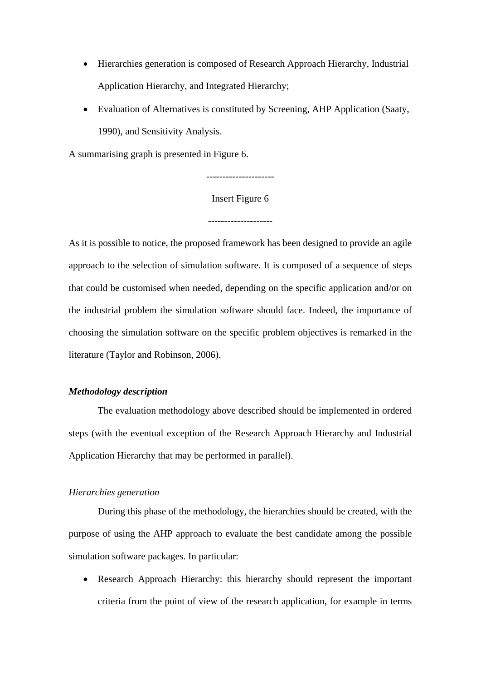- Hierarchies generation is composed of Research Approach Hierarchy, Industrial Application Hierarchy, and Integrated Hierarchy;
- Evaluation of Alternatives is constituted by Screening, AHP Application (Saaty, 1990), and Sensitivity Analysis.

A summarising graph is presented in Figure 6.

## Insert Figure 6

--------------------

As it is possible to notice, the proposed framework has been designed to provide an agile approach to the selection of simulation software. It is composed of a sequence of steps that could be customised when needed, depending on the specific application and/or on the industrial problem the simulation software should face. Indeed, the importance of choosing the simulation software on the specific problem objectives is remarked in the literature (Taylor and Robinson, 2006).

## *Methodology description*

The evaluation methodology above described should be implemented in ordered steps (with the eventual exception of the Research Approach Hierarchy and Industrial Application Hierarchy that may be performed in parallel).

#### *Hierarchies generation*

During this phase of the methodology, the hierarchies should be created, with the purpose of using the AHP approach to evaluate the best candidate among the possible simulation software packages. In particular:

• Research Approach Hierarchy: this hierarchy should represent the important criteria from the point of view of the research application, for example in terms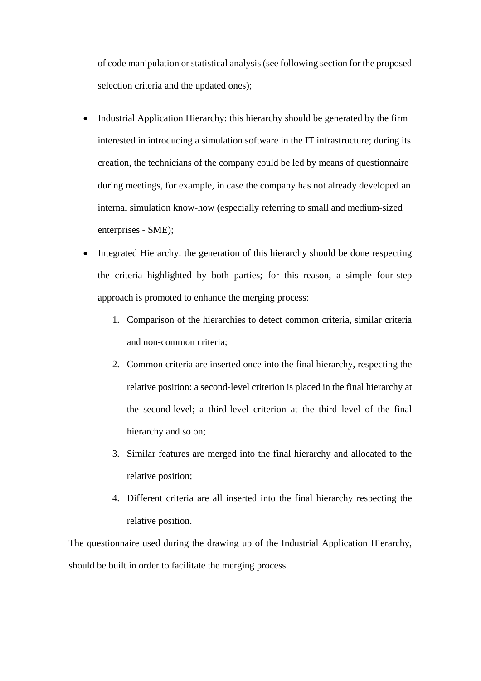of code manipulation or statistical analysis (see following section for the proposed selection criteria and the updated ones);

- Industrial Application Hierarchy: this hierarchy should be generated by the firm interested in introducing a simulation software in the IT infrastructure; during its creation, the technicians of the company could be led by means of questionnaire during meetings, for example, in case the company has not already developed an internal simulation know-how (especially referring to small and medium-sized enterprises - SME);
- Integrated Hierarchy: the generation of this hierarchy should be done respecting the criteria highlighted by both parties; for this reason, a simple four-step approach is promoted to enhance the merging process:
	- 1. Comparison of the hierarchies to detect common criteria, similar criteria and non-common criteria;
	- 2. Common criteria are inserted once into the final hierarchy, respecting the relative position: a second-level criterion is placed in the final hierarchy at the second-level; a third-level criterion at the third level of the final hierarchy and so on;
	- 3. Similar features are merged into the final hierarchy and allocated to the relative position;
	- 4. Different criteria are all inserted into the final hierarchy respecting the relative position.

The questionnaire used during the drawing up of the Industrial Application Hierarchy, should be built in order to facilitate the merging process.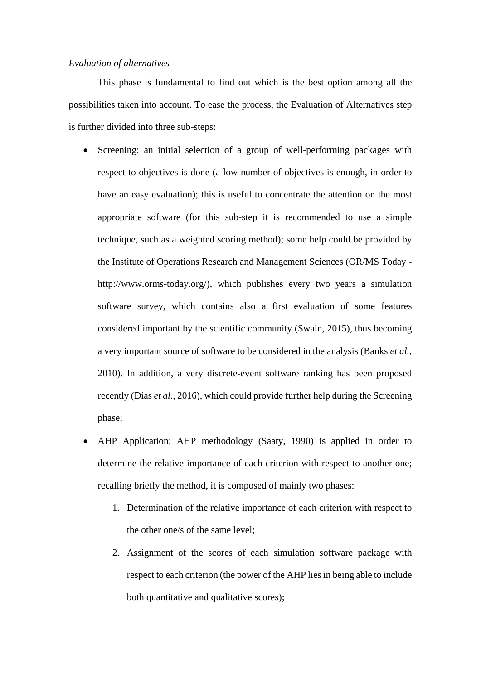#### *Evaluation of alternatives*

This phase is fundamental to find out which is the best option among all the possibilities taken into account. To ease the process, the Evaluation of Alternatives step is further divided into three sub-steps:

- Screening: an initial selection of a group of well-performing packages with respect to objectives is done (a low number of objectives is enough, in order to have an easy evaluation); this is useful to concentrate the attention on the most appropriate software (for this sub-step it is recommended to use a simple technique, such as a weighted scoring method); some help could be provided by the Institute of Operations Research and Management Sciences (OR/MS Today http://www.orms-today.org/), which publishes every two years a simulation software survey, which contains also a first evaluation of some features considered important by the scientific community (Swain, 2015), thus becoming a very important source of software to be considered in the analysis (Banks *et al.*, 2010). In addition, a very discrete-event software ranking has been proposed recently (Dias *et al.*, 2016), which could provide further help during the Screening phase;
- AHP Application: AHP methodology (Saaty, 1990) is applied in order to determine the relative importance of each criterion with respect to another one; recalling briefly the method, it is composed of mainly two phases:
	- 1. Determination of the relative importance of each criterion with respect to the other one/s of the same level;
	- 2. Assignment of the scores of each simulation software package with respect to each criterion (the power of the AHP lies in being able to include both quantitative and qualitative scores);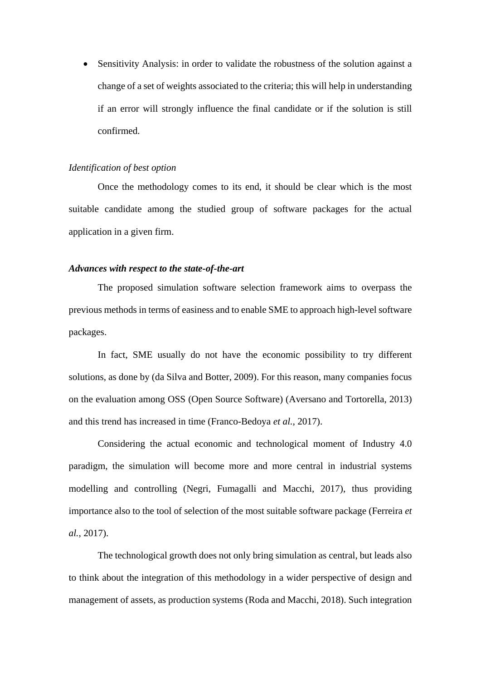• Sensitivity Analysis: in order to validate the robustness of the solution against a change of a set of weights associated to the criteria; this will help in understanding if an error will strongly influence the final candidate or if the solution is still confirmed.

## *Identification of best option*

Once the methodology comes to its end, it should be clear which is the most suitable candidate among the studied group of software packages for the actual application in a given firm.

#### *Advances with respect to the state-of-the-art*

The proposed simulation software selection framework aims to overpass the previous methods in terms of easiness and to enable SME to approach high-level software packages.

In fact, SME usually do not have the economic possibility to try different solutions, as done by (da Silva and Botter, 2009). For this reason, many companies focus on the evaluation among OSS (Open Source Software) (Aversano and Tortorella, 2013) and this trend has increased in time (Franco-Bedoya *et al.*, 2017).

Considering the actual economic and technological moment of Industry 4.0 paradigm, the simulation will become more and more central in industrial systems modelling and controlling (Negri, Fumagalli and Macchi, 2017), thus providing importance also to the tool of selection of the most suitable software package (Ferreira *et al.*, 2017).

The technological growth does not only bring simulation as central, but leads also to think about the integration of this methodology in a wider perspective of design and management of assets, as production systems (Roda and Macchi, 2018). Such integration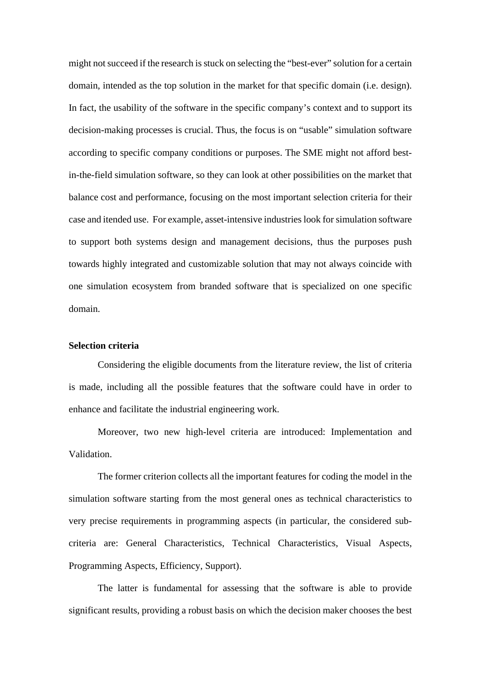might not succeed if the research is stuck on selecting the "best-ever" solution for a certain domain, intended as the top solution in the market for that specific domain (i.e. design). In fact, the usability of the software in the specific company's context and to support its decision-making processes is crucial. Thus, the focus is on "usable" simulation software according to specific company conditions or purposes. The SME might not afford bestin-the-field simulation software, so they can look at other possibilities on the market that balance cost and performance, focusing on the most important selection criteria for their case and itended use. For example, asset-intensive industries look for simulation software to support both systems design and management decisions, thus the purposes push towards highly integrated and customizable solution that may not always coincide with one simulation ecosystem from branded software that is specialized on one specific domain.

#### **Selection criteria**

Considering the eligible documents from the literature review, the list of criteria is made, including all the possible features that the software could have in order to enhance and facilitate the industrial engineering work.

Moreover, two new high-level criteria are introduced: Implementation and Validation.

The former criterion collects all the important features for coding the model in the simulation software starting from the most general ones as technical characteristics to very precise requirements in programming aspects (in particular, the considered subcriteria are: General Characteristics, Technical Characteristics, Visual Aspects, Programming Aspects, Efficiency, Support).

The latter is fundamental for assessing that the software is able to provide significant results, providing a robust basis on which the decision maker chooses the best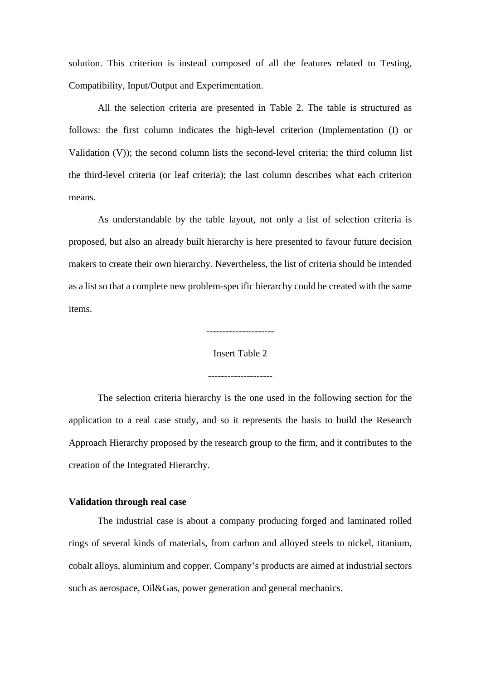solution. This criterion is instead composed of all the features related to Testing, Compatibility, Input/Output and Experimentation.

All the selection criteria are presented in Table 2. The table is structured as follows: the first column indicates the high-level criterion (Implementation (I) or Validation (V)); the second column lists the second-level criteria; the third column list the third-level criteria (or leaf criteria); the last column describes what each criterion means.

As understandable by the table layout, not only a list of selection criteria is proposed, but also an already built hierarchy is here presented to favour future decision makers to create their own hierarchy. Nevertheless, the list of criteria should be intended as a list so that a complete new problem-specific hierarchy could be created with the same items.

---------------------

Insert Table 2

The selection criteria hierarchy is the one used in the following section for the application to a real case study, and so it represents the basis to build the Research Approach Hierarchy proposed by the research group to the firm, and it contributes to the creation of the Integrated Hierarchy.

#### **Validation through real case**

The industrial case is about a company producing forged and laminated rolled rings of several kinds of materials, from carbon and alloyed steels to nickel, titanium, cobalt alloys, aluminium and copper. Company's products are aimed at industrial sectors such as aerospace, Oil&Gas, power generation and general mechanics.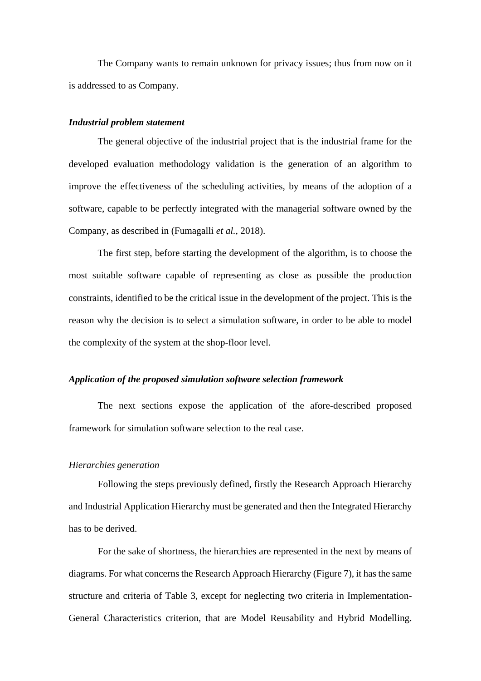The Company wants to remain unknown for privacy issues; thus from now on it is addressed to as Company.

#### *Industrial problem statement*

The general objective of the industrial project that is the industrial frame for the developed evaluation methodology validation is the generation of an algorithm to improve the effectiveness of the scheduling activities, by means of the adoption of a software, capable to be perfectly integrated with the managerial software owned by the Company, as described in (Fumagalli *et al.*, 2018).

The first step, before starting the development of the algorithm, is to choose the most suitable software capable of representing as close as possible the production constraints, identified to be the critical issue in the development of the project. This is the reason why the decision is to select a simulation software, in order to be able to model the complexity of the system at the shop-floor level.

#### *Application of the proposed simulation software selection framework*

The next sections expose the application of the afore-described proposed framework for simulation software selection to the real case.

#### *Hierarchies generation*

Following the steps previously defined, firstly the Research Approach Hierarchy and Industrial Application Hierarchy must be generated and then the Integrated Hierarchy has to be derived.

For the sake of shortness, the hierarchies are represented in the next by means of diagrams. For what concerns the Research Approach Hierarchy (Figure 7), it has the same structure and criteria of Table 3, except for neglecting two criteria in Implementation-General Characteristics criterion, that are Model Reusability and Hybrid Modelling.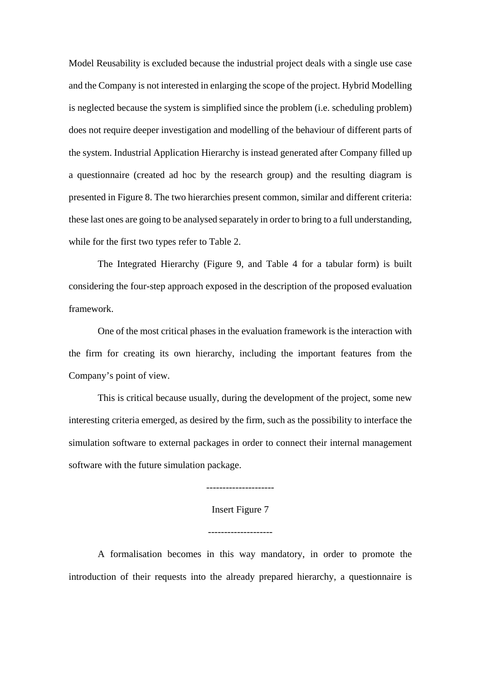Model Reusability is excluded because the industrial project deals with a single use case and the Company is not interested in enlarging the scope of the project. Hybrid Modelling is neglected because the system is simplified since the problem (i.e. scheduling problem) does not require deeper investigation and modelling of the behaviour of different parts of the system. Industrial Application Hierarchy is instead generated after Company filled up a questionnaire (created ad hoc by the research group) and the resulting diagram is presented in Figure 8. The two hierarchies present common, similar and different criteria: these last ones are going to be analysed separately in order to bring to a full understanding, while for the first two types refer to Table 2.

The Integrated Hierarchy (Figure 9, and Table 4 for a tabular form) is built considering the four-step approach exposed in the description of the proposed evaluation framework.

One of the most critical phases in the evaluation framework is the interaction with the firm for creating its own hierarchy, including the important features from the Company's point of view.

This is critical because usually, during the development of the project, some new interesting criteria emerged, as desired by the firm, such as the possibility to interface the simulation software to external packages in order to connect their internal management software with the future simulation package.

Insert Figure 7

---------------------

--------------------

A formalisation becomes in this way mandatory, in order to promote the introduction of their requests into the already prepared hierarchy, a questionnaire is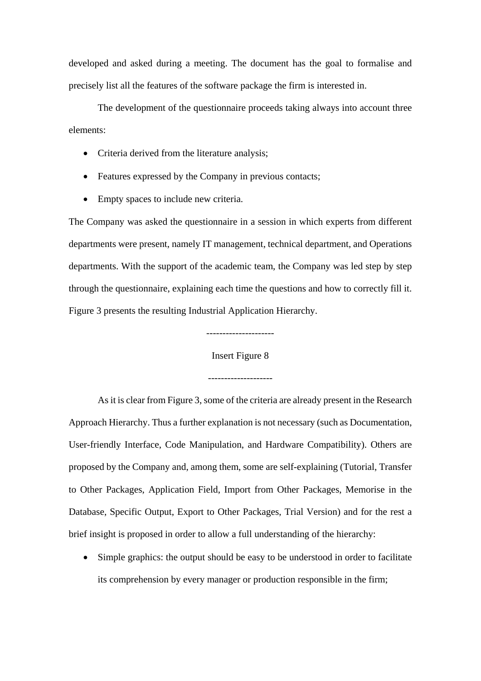developed and asked during a meeting. The document has the goal to formalise and precisely list all the features of the software package the firm is interested in.

The development of the questionnaire proceeds taking always into account three elements:

- Criteria derived from the literature analysis;
- Features expressed by the Company in previous contacts;
- Empty spaces to include new criteria.

The Company was asked the questionnaire in a session in which experts from different departments were present, namely IT management, technical department, and Operations departments. With the support of the academic team, the Company was led step by step through the questionnaire, explaining each time the questions and how to correctly fill it. Figure 3 presents the resulting Industrial Application Hierarchy.

---------------------

Insert Figure 8

--------------------

As it is clear from Figure 3, some of the criteria are already present in the Research Approach Hierarchy. Thus a further explanation is not necessary (such as Documentation, User-friendly Interface, Code Manipulation, and Hardware Compatibility). Others are proposed by the Company and, among them, some are self-explaining (Tutorial, Transfer to Other Packages, Application Field, Import from Other Packages, Memorise in the Database, Specific Output, Export to Other Packages, Trial Version) and for the rest a brief insight is proposed in order to allow a full understanding of the hierarchy:

• Simple graphics: the output should be easy to be understood in order to facilitate its comprehension by every manager or production responsible in the firm;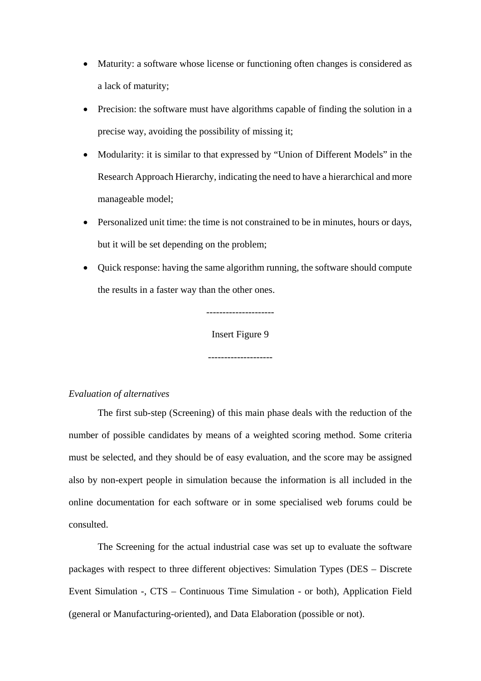- Maturity: a software whose license or functioning often changes is considered as a lack of maturity;
- Precision: the software must have algorithms capable of finding the solution in a precise way, avoiding the possibility of missing it;
- Modularity: it is similar to that expressed by "Union of Different Models" in the Research Approach Hierarchy, indicating the need to have a hierarchical and more manageable model;
- Personalized unit time: the time is not constrained to be in minutes, hours or days, but it will be set depending on the problem;
- Quick response: having the same algorithm running, the software should compute the results in a faster way than the other ones.

--------------------- Insert Figure 9

--------------------

## *Evaluation of alternatives*

The first sub-step (Screening) of this main phase deals with the reduction of the number of possible candidates by means of a weighted scoring method. Some criteria must be selected, and they should be of easy evaluation, and the score may be assigned also by non-expert people in simulation because the information is all included in the online documentation for each software or in some specialised web forums could be consulted.

The Screening for the actual industrial case was set up to evaluate the software packages with respect to three different objectives: Simulation Types (DES – Discrete Event Simulation -, CTS – Continuous Time Simulation - or both), Application Field (general or Manufacturing-oriented), and Data Elaboration (possible or not).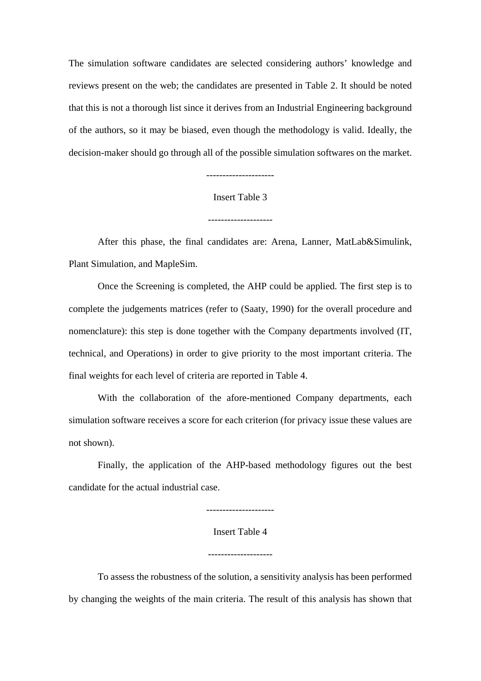The simulation software candidates are selected considering authors' knowledge and reviews present on the web; the candidates are presented in Table 2. It should be noted that this is not a thorough list since it derives from an Industrial Engineering background of the authors, so it may be biased, even though the methodology is valid. Ideally, the decision-maker should go through all of the possible simulation softwares on the market.

---------------------

Insert Table 3

--------------------

After this phase, the final candidates are: Arena, Lanner, MatLab&Simulink, Plant Simulation, and MapleSim.

Once the Screening is completed, the AHP could be applied. The first step is to complete the judgements matrices (refer to (Saaty, 1990) for the overall procedure and nomenclature): this step is done together with the Company departments involved (IT, technical, and Operations) in order to give priority to the most important criteria. The final weights for each level of criteria are reported in Table 4.

With the collaboration of the afore-mentioned Company departments, each simulation software receives a score for each criterion (for privacy issue these values are not shown).

Finally, the application of the AHP-based methodology figures out the best candidate for the actual industrial case.

---------------------

Insert Table 4

--------------------

To assess the robustness of the solution, a sensitivity analysis has been performed by changing the weights of the main criteria. The result of this analysis has shown that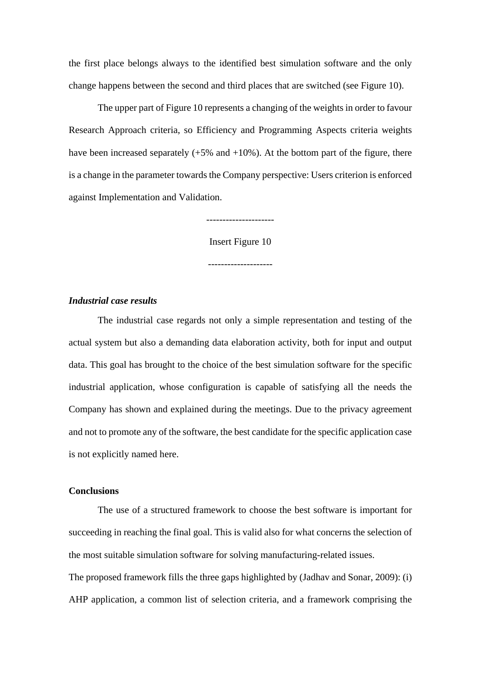the first place belongs always to the identified best simulation software and the only change happens between the second and third places that are switched (see Figure 10).

The upper part of Figure 10 represents a changing of the weights in order to favour Research Approach criteria, so Efficiency and Programming Aspects criteria weights have been increased separately  $(+5\% \text{ and } +10\%)$ . At the bottom part of the figure, there is a change in the parameter towards the Company perspective: Users criterion is enforced against Implementation and Validation.

---------------------

Insert Figure 10

## *Industrial case results*

The industrial case regards not only a simple representation and testing of the actual system but also a demanding data elaboration activity, both for input and output data. This goal has brought to the choice of the best simulation software for the specific industrial application, whose configuration is capable of satisfying all the needs the Company has shown and explained during the meetings. Due to the privacy agreement and not to promote any of the software, the best candidate for the specific application case is not explicitly named here.

## **Conclusions**

The use of a structured framework to choose the best software is important for succeeding in reaching the final goal. This is valid also for what concerns the selection of the most suitable simulation software for solving manufacturing-related issues.

The proposed framework fills the three gaps highlighted by (Jadhav and Sonar, 2009): (i) AHP application, a common list of selection criteria, and a framework comprising the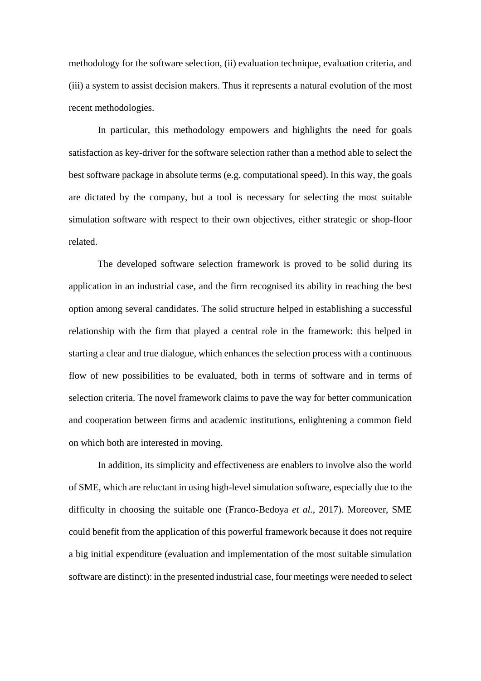methodology for the software selection, (ii) evaluation technique, evaluation criteria, and (iii) a system to assist decision makers. Thus it represents a natural evolution of the most recent methodologies.

In particular, this methodology empowers and highlights the need for goals satisfaction as key-driver for the software selection rather than a method able to select the best software package in absolute terms (e.g. computational speed). In this way, the goals are dictated by the company, but a tool is necessary for selecting the most suitable simulation software with respect to their own objectives, either strategic or shop-floor related.

The developed software selection framework is proved to be solid during its application in an industrial case, and the firm recognised its ability in reaching the best option among several candidates. The solid structure helped in establishing a successful relationship with the firm that played a central role in the framework: this helped in starting a clear and true dialogue, which enhances the selection process with a continuous flow of new possibilities to be evaluated, both in terms of software and in terms of selection criteria. The novel framework claims to pave the way for better communication and cooperation between firms and academic institutions, enlightening a common field on which both are interested in moving.

In addition, its simplicity and effectiveness are enablers to involve also the world of SME, which are reluctant in using high-level simulation software, especially due to the difficulty in choosing the suitable one (Franco-Bedoya *et al.*, 2017). Moreover, SME could benefit from the application of this powerful framework because it does not require a big initial expenditure (evaluation and implementation of the most suitable simulation software are distinct): in the presented industrial case, four meetings were needed to select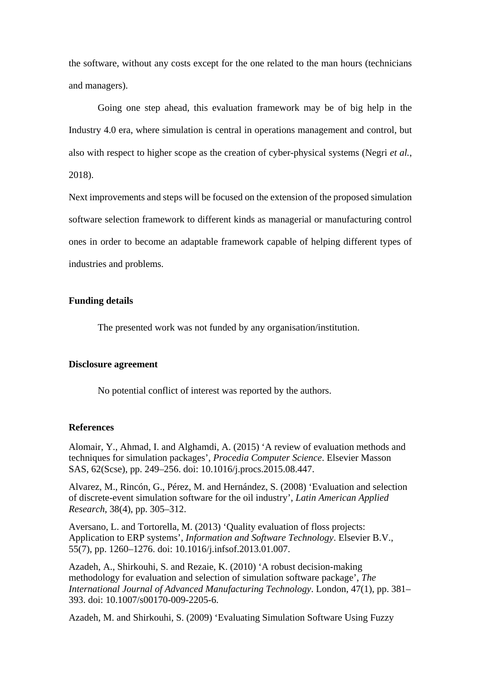the software, without any costs except for the one related to the man hours (technicians and managers).

Going one step ahead, this evaluation framework may be of big help in the Industry 4.0 era, where simulation is central in operations management and control, but also with respect to higher scope as the creation of cyber-physical systems (Negri *et al.*, 2018).

Next improvements and steps will be focused on the extension of the proposed simulation software selection framework to different kinds as managerial or manufacturing control ones in order to become an adaptable framework capable of helping different types of industries and problems.

#### **Funding details**

The presented work was not funded by any organisation/institution.

#### **Disclosure agreement**

No potential conflict of interest was reported by the authors.

#### **References**

Alomair, Y., Ahmad, I. and Alghamdi, A. (2015) 'A review of evaluation methods and techniques for simulation packages', *Procedia Computer Science*. Elsevier Masson SAS, 62(Scse), pp. 249–256. doi: 10.1016/j.procs.2015.08.447.

Alvarez, M., Rincón, G., Pérez, M. and Hernández, S. (2008) 'Evaluation and selection of discrete-event simulation software for the oil industry', *Latin American Applied Research*, 38(4), pp. 305–312.

Aversano, L. and Tortorella, M. (2013) 'Quality evaluation of floss projects: Application to ERP systems', *Information and Software Technology*. Elsevier B.V., 55(7), pp. 1260–1276. doi: 10.1016/j.infsof.2013.01.007.

Azadeh, A., Shirkouhi, S. and Rezaie, K. (2010) 'A robust decision-making methodology for evaluation and selection of simulation software package', *The International Journal of Advanced Manufacturing Technology*. London, 47(1), pp. 381– 393. doi: 10.1007/s00170-009-2205-6.

Azadeh, M. and Shirkouhi, S. (2009) 'Evaluating Simulation Software Using Fuzzy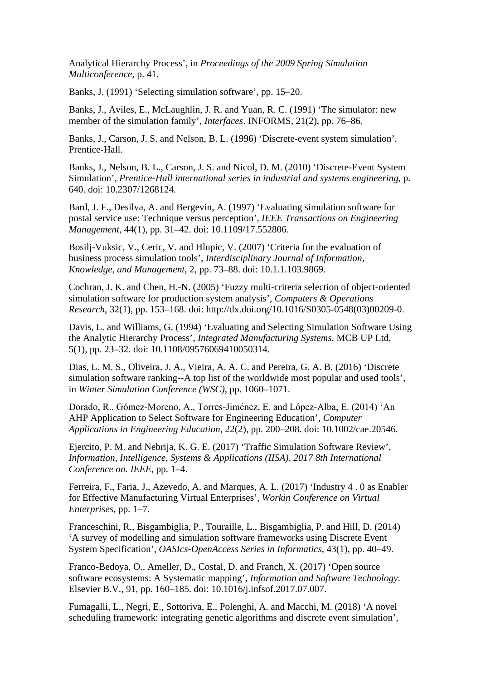Analytical Hierarchy Process', in *Proceedings of the 2009 Spring Simulation Multiconference*, p. 41.

Banks, J. (1991) 'Selecting simulation software', pp. 15–20.

Banks, J., Aviles, E., McLaughlin, J. R. and Yuan, R. C. (1991) 'The simulator: new member of the simulation family', *Interfaces*. INFORMS, 21(2), pp. 76–86.

Banks, J., Carson, J. S. and Nelson, B. L. (1996) 'Discrete-event system simulation'. Prentice-Hall.

Banks, J., Nelson, B. L., Carson, J. S. and Nicol, D. M. (2010) 'Discrete-Event System Simulation', *Prentice-Hall international series in industrial and systems engineering*, p. 640. doi: 10.2307/1268124.

Bard, J. F., Desilva, A. and Bergevin, A. (1997) 'Evaluating simulation software for postal service use: Technique versus perception', *IEEE Transactions on Engineering Management*, 44(1), pp. 31–42. doi: 10.1109/17.552806.

Bosilj-Vuksic, V., Ceric, V. and Hlupic, V. (2007) 'Criteria for the evaluation of business process simulation tools', *Interdisciplinary Journal of Information, Knowledge, and Management*, 2, pp. 73–88. doi: 10.1.1.103.9869.

Cochran, J. K. and Chen, H.-N. (2005) 'Fuzzy multi-criteria selection of object-oriented simulation software for production system analysis', *Computers & Operations Research*, 32(1), pp. 153–168. doi: http://dx.doi.org/10.1016/S0305-0548(03)00209-0.

Davis, L. and Williams, G. (1994) 'Evaluating and Selecting Simulation Software Using the Analytic Hierarchy Process', *Integrated Manufacturing Systems*. MCB UP Ltd, 5(1), pp. 23–32. doi: 10.1108/09576069410050314.

Dias, L. M. S., Oliveira, J. A., Vieira, A. A. C. and Pereira, G. A. B. (2016) 'Discrete simulation software ranking--A top list of the worldwide most popular and used tools', in *Winter Simulation Conference (WSC)*, pp. 1060–1071.

Dorado, R., Gómez‐Moreno, A., Torres‐Jiménez, E. and López‐Alba, E. (2014) 'An AHP Application to Select Software for Engineering Education', *Computer Applications in Engineering Education*, 22(2), pp. 200–208. doi: 10.1002/cae.20546.

Ejercito, P. M. and Nebrija, K. G. E. (2017) 'Traffic Simulation Software Review', *Information, Intelligence, Systems & Applications (IISA), 2017 8th International Conference on. IEEE*, pp. 1–4.

Ferreira, F., Faria, J., Azevedo, A. and Marques, A. L. (2017) 'Industry 4 . 0 as Enabler for Effective Manufacturing Virtual Enterprises', *Workin Conference on Virtual Enterprises*, pp. 1–7.

Franceschini, R., Bisgambiglia, P., Touraille, L., Bisgambiglia, P. and Hill, D. (2014) 'A survey of modelling and simulation software frameworks using Discrete Event System Specification', *OASIcs-OpenAccess Series in Informatics*, 43(1), pp. 40–49.

Franco-Bedoya, O., Ameller, D., Costal, D. and Franch, X. (2017) 'Open source software ecosystems: A Systematic mapping', *Information and Software Technology*. Elsevier B.V., 91, pp. 160–185. doi: 10.1016/j.infsof.2017.07.007.

Fumagalli, L., Negri, E., Sottoriva, E., Polenghi, A. and Macchi, M. (2018) 'A novel scheduling framework: integrating genetic algorithms and discrete event simulation',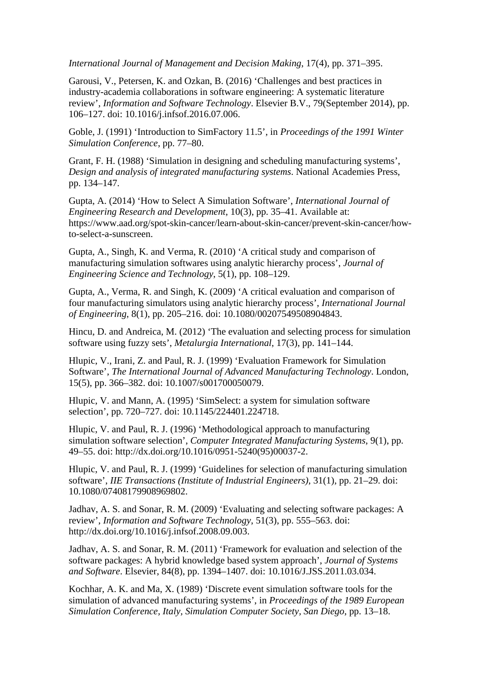*International Journal of Management and Decision Making*, 17(4), pp. 371–395.

Garousi, V., Petersen, K. and Ozkan, B. (2016) 'Challenges and best practices in industry-academia collaborations in software engineering: A systematic literature review', *Information and Software Technology*. Elsevier B.V., 79(September 2014), pp. 106–127. doi: 10.1016/j.infsof.2016.07.006.

Goble, J. (1991) 'Introduction to SimFactory 11.5', in *Proceedings of the 1991 Winter Simulation Conference*, pp. 77–80.

Grant, F. H. (1988) 'Simulation in designing and scheduling manufacturing systems', *Design and analysis of integrated manufacturing systems*. National Academies Press, pp. 134–147.

Gupta, A. (2014) 'How to Select A Simulation Software', *International Journal of Engineering Research and Development*, 10(3), pp. 35–41. Available at: https://www.aad.org/spot-skin-cancer/learn-about-skin-cancer/prevent-skin-cancer/howto-select-a-sunscreen.

Gupta, A., Singh, K. and Verma, R. (2010) 'A critical study and comparison of manufacturing simulation softwares using analytic hierarchy process', *Journal of Engineering Science and Technology*, 5(1), pp. 108–129.

Gupta, A., Verma, R. and Singh, K. (2009) 'A critical evaluation and comparison of four manufacturing simulators using analytic hierarchy process', *International Journal of Engineering*, 8(1), pp. 205–216. doi: 10.1080/00207549508904843.

Hincu, D. and Andreica, M. (2012) 'The evaluation and selecting process for simulation software using fuzzy sets', *Metalurgia International*, 17(3), pp. 141–144.

Hlupic, V., Irani, Z. and Paul, R. J. (1999) 'Evaluation Framework for Simulation Software', *The International Journal of Advanced Manufacturing Technology*. London, 15(5), pp. 366–382. doi: 10.1007/s001700050079.

Hlupic, V. and Mann, A. (1995) 'SimSelect: a system for simulation software selection', pp. 720–727. doi: 10.1145/224401.224718.

Hlupic, V. and Paul, R. J. (1996) 'Methodological approach to manufacturing simulation software selection', *Computer Integrated Manufacturing Systems*, 9(1), pp. 49–55. doi: http://dx.doi.org/10.1016/0951-5240(95)00037-2.

Hlupic, V. and Paul, R. J. (1999) 'Guidelines for selection of manufacturing simulation software', *IIE Transactions (Institute of Industrial Engineers)*, 31(1), pp. 21–29. doi: 10.1080/07408179908969802.

Jadhav, A. S. and Sonar, R. M. (2009) 'Evaluating and selecting software packages: A review', *Information and Software Technology*, 51(3), pp. 555–563. doi: http://dx.doi.org/10.1016/j.infsof.2008.09.003.

Jadhav, A. S. and Sonar, R. M. (2011) 'Framework for evaluation and selection of the software packages: A hybrid knowledge based system approach', *Journal of Systems and Software*. Elsevier, 84(8), pp. 1394–1407. doi: 10.1016/J.JSS.2011.03.034.

Kochhar, A. K. and Ma, X. (1989) 'Discrete event simulation software tools for the simulation of advanced manufacturing systems', in *Proceedings of the 1989 European Simulation Conference, Italy, Simulation Computer Society, San Diego*, pp. 13–18.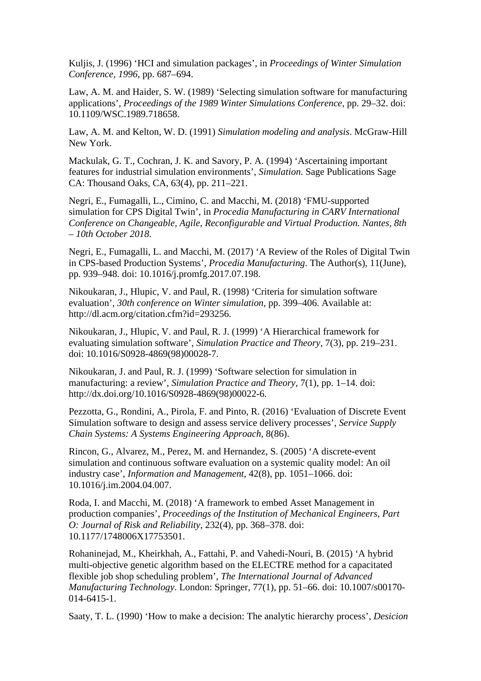Kuljis, J. (1996) 'HCI and simulation packages', in *Proceedings of Winter Simulation Conference, 1996*, pp. 687–694.

Law, A. M. and Haider, S. W. (1989) 'Selecting simulation software for manufacturing applications', *Proceedings of the 1989 Winter Simulations Conference*, pp. 29–32. doi: 10.1109/WSC.1989.718658.

Law, A. M. and Kelton, W. D. (1991) *Simulation modeling and analysis*. McGraw-Hill New York.

Mackulak, G. T., Cochran, J. K. and Savory, P. A. (1994) 'Ascertaining important features for industrial simulation environments', *Simulation*. Sage Publications Sage CA: Thousand Oaks, CA, 63(4), pp. 211–221.

Negri, E., Fumagalli, L., Cimino, C. and Macchi, M. (2018) 'FMU-supported simulation for CPS Digital Twin', in *Procedia Manufacturing in CARV International Conference on Changeable, Agile, Reconfigurable and Virtual Production. Nantes, 8th – 10th October 2018*.

Negri, E., Fumagalli, L. and Macchi, M. (2017) 'A Review of the Roles of Digital Twin in CPS-based Production Systems', *Procedia Manufacturing*. The Author(s), 11(June), pp. 939–948. doi: 10.1016/j.promfg.2017.07.198.

Nikoukaran, J., Hlupic, V. and Paul, R. (1998) 'Criteria for simulation software evaluation', *30th conference on Winter simulation*, pp. 399–406. Available at: http://dl.acm.org/citation.cfm?id=293256.

Nikoukaran, J., Hlupic, V. and Paul, R. J. (1999) 'A Hierarchical framework for evaluating simulation software', *Simulation Practice and Theory*, 7(3), pp. 219–231. doi: 10.1016/S0928-4869(98)00028-7.

Nikoukaran, J. and Paul, R. J. (1999) 'Software selection for simulation in manufacturing: a review', *Simulation Practice and Theory*, 7(1), pp. 1–14. doi: http://dx.doi.org/10.1016/S0928-4869(98)00022-6.

Pezzotta, G., Rondini, A., Pirola, F. and Pinto, R. (2016) 'Evaluation of Discrete Event Simulation software to design and assess service delivery processes', *Service Supply Chain Systems: A Systems Engineering Approach*, 8(86).

Rincon, G., Alvarez, M., Perez, M. and Hernandez, S. (2005) 'A discrete-event simulation and continuous software evaluation on a systemic quality model: An oil industry case', *Information and Management*, 42(8), pp. 1051–1066. doi: 10.1016/j.im.2004.04.007.

Roda, I. and Macchi, M. (2018) 'A framework to embed Asset Management in production companies', *Proceedings of the Institution of Mechanical Engineers, Part O: Journal of Risk and Reliability*, 232(4), pp. 368–378. doi: 10.1177/1748006X17753501.

Rohaninejad, M., Kheirkhah, A., Fattahi, P. and Vahedi-Nouri, B. (2015) 'A hybrid multi-objective genetic algorithm based on the ELECTRE method for a capacitated flexible job shop scheduling problem', *The International Journal of Advanced Manufacturing Technology*. London: Springer, 77(1), pp. 51–66. doi: 10.1007/s00170- 014-6415-1.

Saaty, T. L. (1990) 'How to make a decision: The analytic hierarchy process', *Desicion*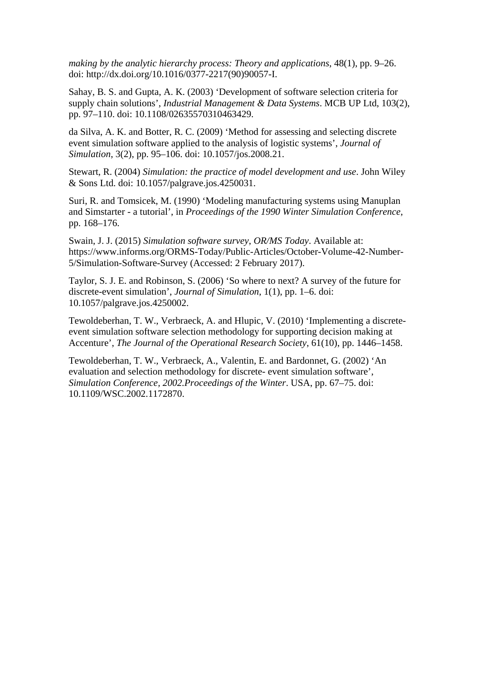*making by the analytic hierarchy process: Theory and applications*, 48(1), pp. 9–26. doi: http://dx.doi.org/10.1016/0377-2217(90)90057-I.

Sahay, B. S. and Gupta, A. K. (2003) 'Development of software selection criteria for supply chain solutions', *Industrial Management & Data Systems*. MCB UP Ltd, 103(2), pp. 97–110. doi: 10.1108/02635570310463429.

da Silva, A. K. and Botter, R. C. (2009) 'Method for assessing and selecting discrete event simulation software applied to the analysis of logistic systems', *Journal of Simulation*, 3(2), pp. 95–106. doi: 10.1057/jos.2008.21.

Stewart, R. (2004) *Simulation: the practice of model development and use*. John Wiley & Sons Ltd. doi: 10.1057/palgrave.jos.4250031.

Suri, R. and Tomsicek, M. (1990) 'Modeling manufacturing systems using Manuplan and Simstarter - a tutorial', in *Proceedings of the 1990 Winter Simulation Conference*, pp. 168–176.

Swain, J. J. (2015) *Simulation software survey*, *OR/MS Today*. Available at: https://www.informs.org/ORMS-Today/Public-Articles/October-Volume-42-Number-5/Simulation-Software-Survey (Accessed: 2 February 2017).

Taylor, S. J. E. and Robinson, S. (2006) 'So where to next? A survey of the future for discrete-event simulation', *Journal of Simulation*, 1(1), pp. 1–6. doi: 10.1057/palgrave.jos.4250002.

Tewoldeberhan, T. W., Verbraeck, A. and Hlupic, V. (2010) 'Implementing a discreteevent simulation software selection methodology for supporting decision making at Accenture', *The Journal of the Operational Research Society*, 61(10), pp. 1446–1458.

Tewoldeberhan, T. W., Verbraeck, A., Valentin, E. and Bardonnet, G. (2002) 'An evaluation and selection methodology for discrete- event simulation software', *Simulation Conference, 2002.Proceedings of the Winter*. USA, pp. 67–75. doi: 10.1109/WSC.2002.1172870.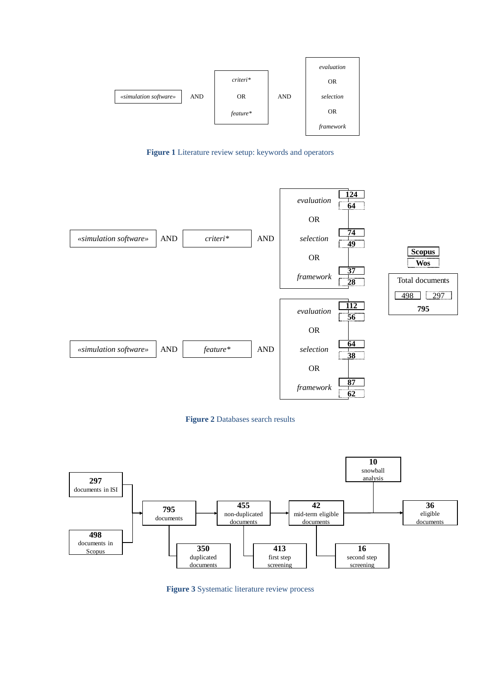

**Figure 1** Literature review setup: keywords and operators



**Figure 2** Databases search results



**Figure 3** Systematic literature review process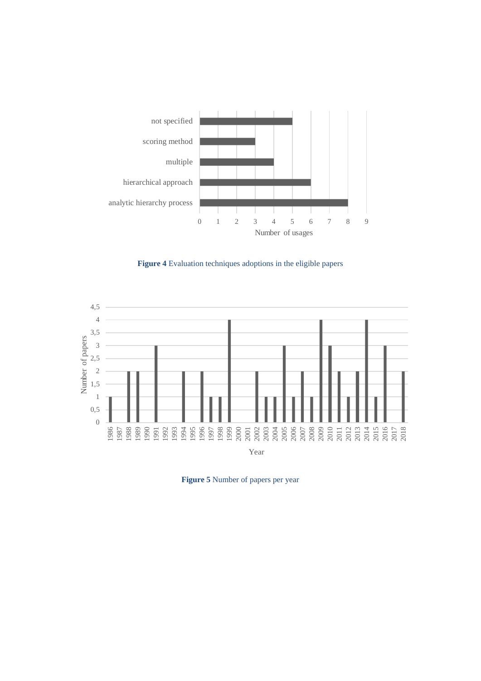

**Figure 4** Evaluation techniques adoptions in the eligible papers



**Figure 5** Number of papers per year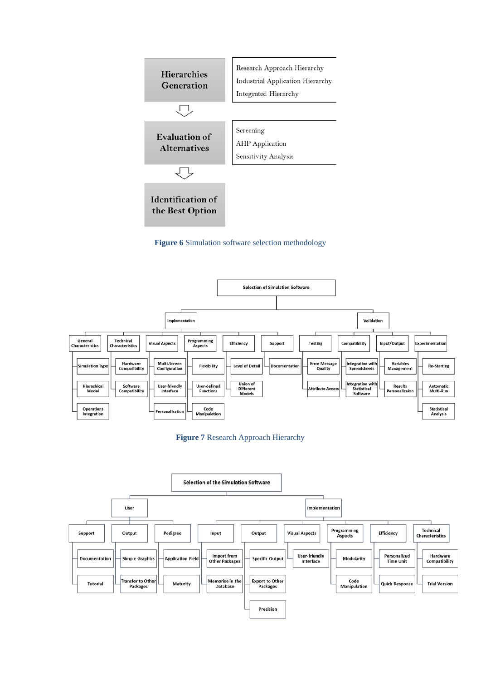







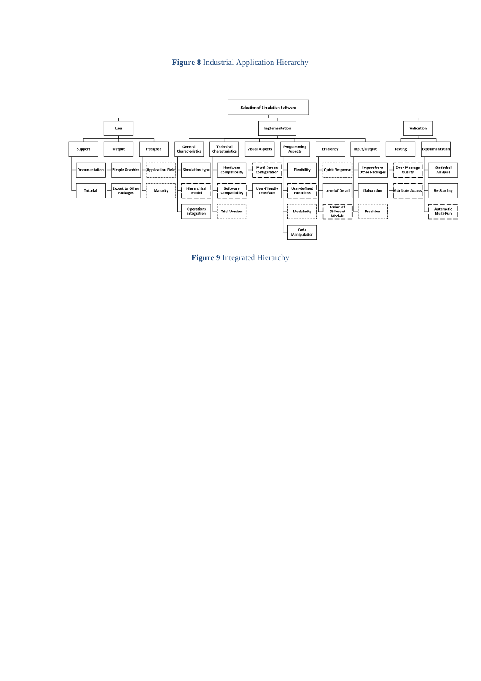#### **Figure 8** Industrial Application Hierarchy



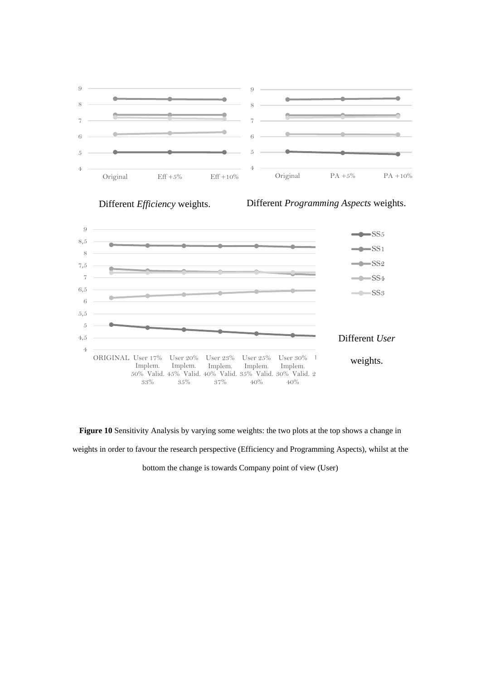



Different *Efficiency* weights. Different *Programming Aspects* weights.



**Figure 10** Sensitivity Analysis by varying some weights: the two plots at the top shows a change in weights in order to favour the research perspective (Efficiency and Programming Aspects), whilst at the

bottom the change is towards Company point of view (User)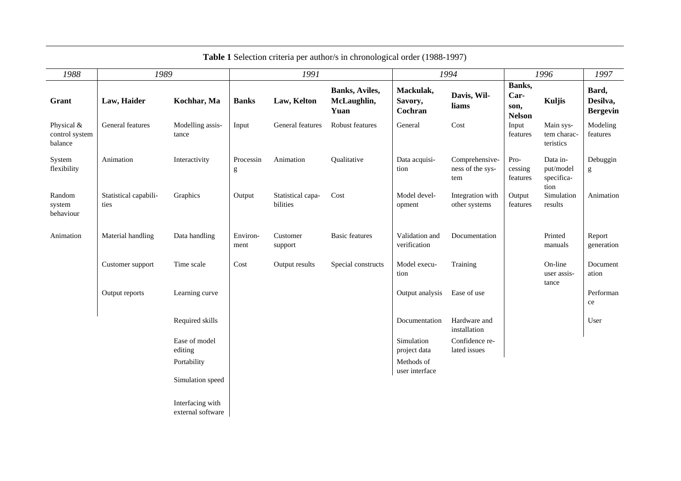| 1988                                    | 1989                          |                                       | 1991             |                               |                                               | 1994                            |                                           | 1996                                    |                                             | 1997                                 |
|-----------------------------------------|-------------------------------|---------------------------------------|------------------|-------------------------------|-----------------------------------------------|---------------------------------|-------------------------------------------|-----------------------------------------|---------------------------------------------|--------------------------------------|
| Grant                                   | Law, Haider                   | Kochhar, Ma                           | <b>Banks</b>     | Law, Kelton                   | <b>Banks</b> , Aviles,<br>McLaughlin,<br>Yuan | Mackulak,<br>Savory,<br>Cochran | Davis, Wil-<br>liams                      | Banks,<br>Car-<br>son,<br><b>Nelson</b> | Kuljis                                      | Bard,<br>Desilva,<br><b>Bergevin</b> |
| Physical &<br>control system<br>balance | General features              | Modelling assis-<br>tance             | Input            | General features              | Robust features                               | General                         | Cost                                      | Input<br>features                       | Main sys-<br>tem charac-<br>teristics       | Modeling<br>features                 |
| System<br>flexibility                   | Animation                     | Interactivity                         | Processin<br>g   | Animation                     | Qualitative                                   | Data acquisi-<br>tion           | Comprehensive-<br>ness of the sys-<br>tem | Pro-<br>cessing<br>features             | Data in-<br>put/model<br>specifica-<br>tion | Debuggin<br>g                        |
| Random<br>system<br>behaviour           | Statistical capabili-<br>ties | Graphics                              | Output           | Statistical capa-<br>bilities | Cost                                          | Model devel-<br>opment          | Integration with<br>other systems         | Output<br>features                      | Simulation<br>results                       | Animation                            |
| Animation                               | Material handling             | Data handling                         | Environ-<br>ment | Customer<br>support           | <b>Basic features</b>                         | Validation and<br>verification  | Documentation                             |                                         | Printed<br>manuals                          | Report<br>generation                 |
|                                         | Customer support              | Time scale                            | Cost             | Output results                | Special constructs                            | Model execu-<br>tion            | Training                                  |                                         | On-line<br>user assis-<br>tance             | Document<br>ation                    |
|                                         | Output reports                | Learning curve                        |                  |                               |                                               | Output analysis                 | Ease of use                               |                                         |                                             | Performan<br>ce                      |
|                                         |                               | Required skills                       |                  |                               |                                               | Documentation                   | Hardware and<br>installation              |                                         |                                             | User                                 |
|                                         |                               | Ease of model<br>editing              |                  |                               |                                               | Simulation<br>project data      | Confidence re-<br>lated issues            |                                         |                                             |                                      |
|                                         |                               | Portability                           |                  |                               |                                               | Methods of<br>user interface    |                                           |                                         |                                             |                                      |
|                                         |                               | Simulation speed                      |                  |                               |                                               |                                 |                                           |                                         |                                             |                                      |
|                                         |                               | Interfacing with<br>external software |                  |                               |                                               |                                 |                                           |                                         |                                             |                                      |

## **Table 1** Selection criteria per author/s in chronological order (1988-1997)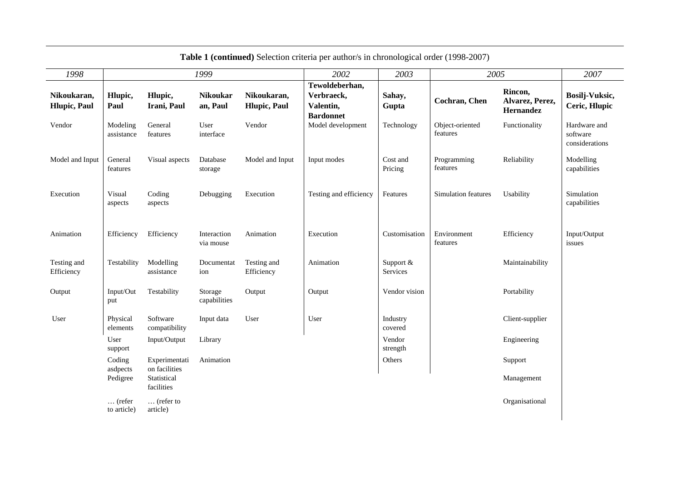| 1998                                |                                |                                | 1999                        |                                     | 2002                                                          | 2003                  | 2005                        |                                         | 2007                                       |
|-------------------------------------|--------------------------------|--------------------------------|-----------------------------|-------------------------------------|---------------------------------------------------------------|-----------------------|-----------------------------|-----------------------------------------|--------------------------------------------|
| Nikoukaran,<br><b>Hlupic</b> , Paul | Hlupic,<br>Paul                | Hlupic,<br>Irani, Paul         | <b>Nikoukar</b><br>an, Paul | Nikoukaran,<br><b>Hlupic</b> , Paul | Tewoldeberhan,<br>Verbraeck,<br>Valentin,<br><b>Bardonnet</b> | Sahay,<br>Gupta       | Cochran, Chen               | Rincon,<br>Alvarez, Perez,<br>Hernandez | Bosilj-Vuksic,<br>Ceric, Hlupic            |
| Vendor                              | Modeling<br>assistance         | General<br>features            | User<br>interface           | Vendor                              | Model development                                             | Technology            | Object-oriented<br>features | Functionality                           | Hardware and<br>software<br>considerations |
| Model and Input                     | General<br>features            | Visual aspects                 | Database<br>storage         | Model and Input                     | Input modes                                                   | Cost and<br>Pricing   | Programming<br>features     | Reliability                             | Modelling<br>capabilities                  |
| Execution                           | Visual<br>aspects              | Coding<br>aspects              | Debugging                   | Execution                           | Testing and efficiency                                        | Features              | Simulation features         | Usability                               | Simulation<br>capabilities                 |
| Animation                           | Efficiency                     | Efficiency                     | Interaction<br>via mouse    | Animation                           | Execution                                                     | Customisation         | Environment<br>features     | Efficiency                              | Input/Output<br>issues                     |
| Testing and<br>Efficiency           | Testability                    | Modelling<br>assistance        | Documentat<br>ion           | Testing and<br>Efficiency           | Animation                                                     | Support &<br>Services |                             | Maintainability                         |                                            |
| Output                              | Input/Out<br>put               | Testability                    | Storage<br>capabilities     | Output                              | Output                                                        | Vendor vision         |                             | Portability                             |                                            |
| User                                | Physical<br>elements           | Software<br>compatibility      | Input data                  | User                                | User                                                          | Industry<br>covered   |                             | Client-supplier                         |                                            |
|                                     | User<br>support                | Input/Output                   | Library                     |                                     |                                                               | Vendor<br>strength    |                             | Engineering                             |                                            |
|                                     | Coding<br>asdpects             | Experimentati<br>on facilities | Animation                   |                                     |                                                               | Others                |                             | Support                                 |                                            |
|                                     | Pedigree                       | Statistical<br>facilities      |                             |                                     |                                                               |                       |                             | Management                              |                                            |
|                                     | $\ldots$ (refer<br>to article) | $\ldots$ (refer to<br>article) |                             |                                     |                                                               |                       |                             | Organisational                          |                                            |

**Table 1 (continued)** Selection criteria per author/s in chronological order (1998-2007)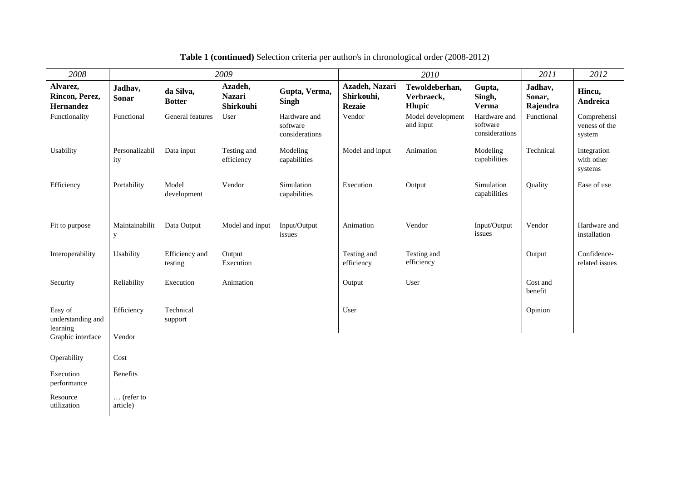| 2008                                     |                                |                            | 2009                                  |                                            |                                               | 2010                                   |                                            | 2011                          | 2012                                   |
|------------------------------------------|--------------------------------|----------------------------|---------------------------------------|--------------------------------------------|-----------------------------------------------|----------------------------------------|--------------------------------------------|-------------------------------|----------------------------------------|
| Alvarez,<br>Rincon, Perez,<br>Hernandez  | Jadhav,<br><b>Sonar</b>        | da Silva,<br><b>Botter</b> | Azadeh,<br><b>Nazari</b><br>Shirkouhi | Gupta, Verma,<br><b>Singh</b>              | Azadeh, Nazari<br>Shirkouhi,<br><b>Rezaie</b> | Tewoldeberhan,<br>Verbraeck,<br>Hlupic | Gupta,<br>Singh,<br><b>Verma</b>           | Jadhav,<br>Sonar,<br>Rajendra | Hincu,<br>Andreica                     |
| Functionality                            | Functional                     | General features           | User                                  | Hardware and<br>software<br>considerations | Vendor                                        | Model development<br>and input         | Hardware and<br>software<br>considerations | Functional                    | Comprehensi<br>veness of the<br>system |
| Usability                                | Personalizabil<br>ity          | Data input                 | Testing and<br>efficiency             | Modeling<br>capabilities                   | Model and input                               | Animation                              | Modeling<br>capabilities                   | Technical                     | Integration<br>with other<br>systems   |
| Efficiency                               | Portability                    | Model<br>development       | Vendor                                | Simulation<br>capabilities                 | Execution                                     | Output                                 | Simulation<br>capabilities                 | Quality                       | Ease of use                            |
| Fit to purpose                           | Maintainabilit<br>у            | Data Output                | Model and input                       | Input/Output<br>issues                     | Animation                                     | Vendor                                 | Input/Output<br>issues                     | Vendor                        | Hardware and<br>installation           |
| Interoperability                         | Usability                      | Efficiency and<br>testing  | Output<br>Execution                   |                                            | Testing and<br>efficiency                     | Testing and<br>efficiency              |                                            | Output                        | Confidence-<br>related issues          |
| Security                                 | Reliability                    | Execution                  | Animation                             |                                            | Output                                        | User                                   |                                            | Cost and<br>benefit           |                                        |
| Easy of<br>understanding and<br>learning | Efficiency                     | Technical<br>support       |                                       |                                            | User                                          |                                        |                                            | Opinion                       |                                        |
| Graphic interface                        | Vendor                         |                            |                                       |                                            |                                               |                                        |                                            |                               |                                        |
| Operability                              | Cost                           |                            |                                       |                                            |                                               |                                        |                                            |                               |                                        |
| Execution<br>performance                 | <b>Benefits</b>                |                            |                                       |                                            |                                               |                                        |                                            |                               |                                        |
| Resource<br>utilization                  | $\ldots$ (refer to<br>article) |                            |                                       |                                            |                                               |                                        |                                            |                               |                                        |

**Table 1 (continued)** Selection criteria per author/s in chronological order (2008-2012)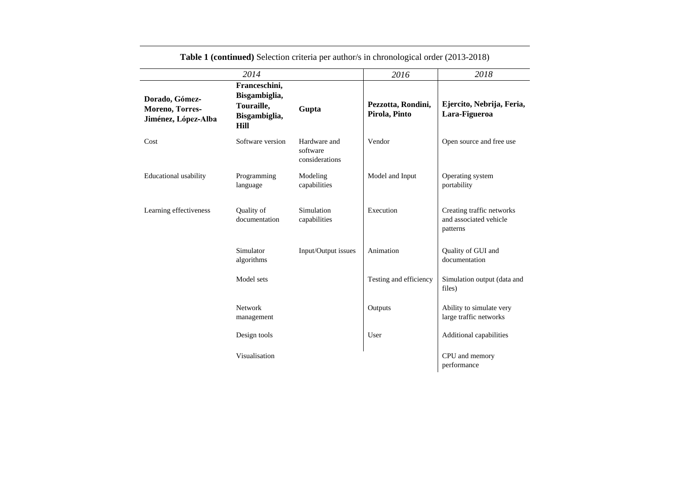|                                                          | 2014                                                                         |                                            | 2016                                | 2018                                                            |
|----------------------------------------------------------|------------------------------------------------------------------------------|--------------------------------------------|-------------------------------------|-----------------------------------------------------------------|
| Dorado, Gómez-<br>Moreno, Torres-<br>Jiménez, López-Alba | Franceschini,<br>Bisgambiglia,<br>Touraille,<br>Bisgambiglia,<br><b>Hill</b> | Gupta                                      | Pezzotta, Rondini,<br>Pirola, Pinto | Ejercito, Nebrija, Feria,<br>Lara-Figueroa                      |
| Cost                                                     | Software version                                                             | Hardware and<br>software<br>considerations | Vendor                              | Open source and free use                                        |
| Educational usability                                    | Programming<br>language                                                      | Modeling<br>capabilities                   | Model and Input                     | Operating system<br>portability                                 |
| Learning effectiveness                                   | Quality of<br>documentation                                                  | Simulation<br>capabilities                 | Execution                           | Creating traffic networks<br>and associated vehicle<br>patterns |
|                                                          | Simulator<br>algorithms                                                      | Input/Output issues                        | Animation                           | Quality of GUI and<br>documentation                             |
|                                                          | Model sets                                                                   |                                            | Testing and efficiency              | Simulation output (data and<br>files)                           |
|                                                          | <b>Network</b><br>management                                                 |                                            | Outputs                             | Ability to simulate very<br>large traffic networks              |
|                                                          | Design tools                                                                 |                                            | User                                | Additional capabilities                                         |
|                                                          | Visualisation                                                                |                                            |                                     | CPU and memory<br>performance                                   |

**Table 1 (continued)** Selection criteria per author/s in chronological order (2013-2018)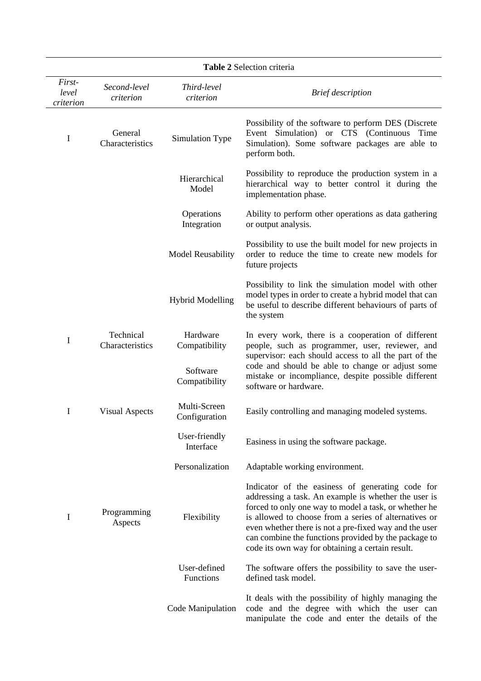| Table 2 Selection criteria   |                              |                               |                                                                                                                                                                                                                                                                                                                                                                                                  |  |  |  |
|------------------------------|------------------------------|-------------------------------|--------------------------------------------------------------------------------------------------------------------------------------------------------------------------------------------------------------------------------------------------------------------------------------------------------------------------------------------------------------------------------------------------|--|--|--|
| First-<br>level<br>criterion | Second-level<br>criterion    | Third-level<br>criterion      | <b>Brief</b> description                                                                                                                                                                                                                                                                                                                                                                         |  |  |  |
| I                            | General<br>Characteristics   | Simulation Type               | Possibility of the software to perform DES (Discrete)<br>Event Simulation) or CTS (Continuous Time<br>Simulation). Some software packages are able to<br>perform both.                                                                                                                                                                                                                           |  |  |  |
|                              |                              | Hierarchical<br>Model         | Possibility to reproduce the production system in a<br>hierarchical way to better control it during the<br>implementation phase.                                                                                                                                                                                                                                                                 |  |  |  |
|                              |                              | Operations<br>Integration     | Ability to perform other operations as data gathering<br>or output analysis.                                                                                                                                                                                                                                                                                                                     |  |  |  |
|                              |                              | <b>Model Reusability</b>      | Possibility to use the built model for new projects in<br>order to reduce the time to create new models for<br>future projects                                                                                                                                                                                                                                                                   |  |  |  |
|                              |                              | <b>Hybrid Modelling</b>       | Possibility to link the simulation model with other<br>model types in order to create a hybrid model that can<br>be useful to describe different behaviours of parts of<br>the system                                                                                                                                                                                                            |  |  |  |
| I                            | Technical<br>Characteristics | Hardware<br>Compatibility     | In every work, there is a cooperation of different<br>people, such as programmer, user, reviewer, and<br>supervisor: each should access to all the part of the                                                                                                                                                                                                                                   |  |  |  |
|                              |                              | Software<br>Compatibility     | code and should be able to change or adjust some<br>mistake or incompliance, despite possible different<br>software or hardware.                                                                                                                                                                                                                                                                 |  |  |  |
| I                            | <b>Visual Aspects</b>        | Multi-Screen<br>Configuration | Easily controlling and managing modeled systems.                                                                                                                                                                                                                                                                                                                                                 |  |  |  |
|                              |                              | User-friendly<br>Interface    | Easiness in using the software package.                                                                                                                                                                                                                                                                                                                                                          |  |  |  |
|                              |                              | Personalization               | Adaptable working environment.                                                                                                                                                                                                                                                                                                                                                                   |  |  |  |
| I                            | Programming<br>Aspects       | Flexibility                   | Indicator of the easiness of generating code for<br>addressing a task. An example is whether the user is<br>forced to only one way to model a task, or whether he<br>is allowed to choose from a series of alternatives or<br>even whether there is not a pre-fixed way and the user<br>can combine the functions provided by the package to<br>code its own way for obtaining a certain result. |  |  |  |
|                              |                              | User-defined<br>Functions     | The software offers the possibility to save the user-<br>defined task model.                                                                                                                                                                                                                                                                                                                     |  |  |  |
|                              |                              | Code Manipulation             | It deals with the possibility of highly managing the<br>code and the degree with which the user can<br>manipulate the code and enter the details of the                                                                                                                                                                                                                                          |  |  |  |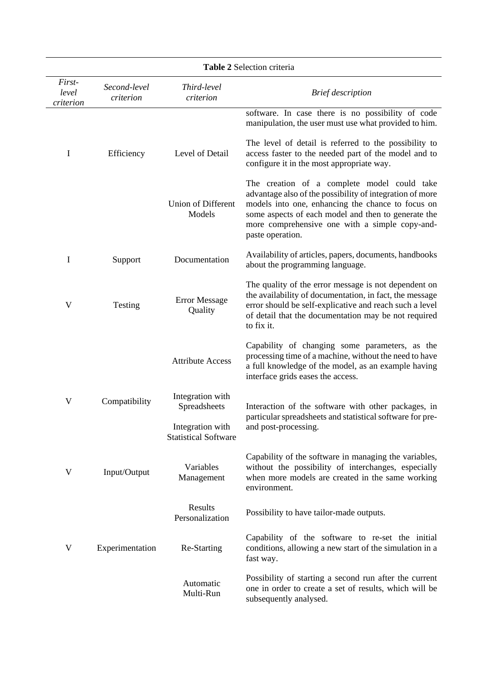| Table 2 Selection criteria   |                           |                                                 |                                                                                                                                                                                                                                                                                           |  |  |  |
|------------------------------|---------------------------|-------------------------------------------------|-------------------------------------------------------------------------------------------------------------------------------------------------------------------------------------------------------------------------------------------------------------------------------------------|--|--|--|
| First-<br>level<br>criterion | Second-level<br>criterion | Third-level<br>criterion                        | <b>Brief</b> description                                                                                                                                                                                                                                                                  |  |  |  |
|                              |                           |                                                 | software. In case there is no possibility of code<br>manipulation, the user must use what provided to him.                                                                                                                                                                                |  |  |  |
| I                            | Efficiency                | Level of Detail                                 | The level of detail is referred to the possibility to<br>access faster to the needed part of the model and to<br>configure it in the most appropriate way.                                                                                                                                |  |  |  |
|                              |                           | Union of Different<br>Models                    | The creation of a complete model could take<br>advantage also of the possibility of integration of more<br>models into one, enhancing the chance to focus on<br>some aspects of each model and then to generate the<br>more comprehensive one with a simple copy-and-<br>paste operation. |  |  |  |
| I                            | Support                   | Documentation                                   | Availability of articles, papers, documents, handbooks<br>about the programming language.                                                                                                                                                                                                 |  |  |  |
| V                            | Testing                   | <b>Error Message</b><br>Quality                 | The quality of the error message is not dependent on<br>the availability of documentation, in fact, the message<br>error should be self-explicative and reach such a level<br>of detail that the documentation may be not required<br>to fix it.                                          |  |  |  |
|                              |                           | <b>Attribute Access</b>                         | Capability of changing some parameters, as the<br>processing time of a machine, without the need to have<br>a full knowledge of the model, as an example having<br>interface grids eases the access.                                                                                      |  |  |  |
| V                            | Compatibility             | Integration with<br>Spreadsheets                | Interaction of the software with other packages, in<br>particular spreadsheets and statistical software for pre-                                                                                                                                                                          |  |  |  |
|                              |                           | Integration with<br><b>Statistical Software</b> | and post-processing.                                                                                                                                                                                                                                                                      |  |  |  |
| V                            | Input/Output              | Variables<br>Management                         | Capability of the software in managing the variables,<br>without the possibility of interchanges, especially<br>when more models are created in the same working<br>environment.                                                                                                          |  |  |  |
|                              |                           | Results<br>Personalization                      | Possibility to have tailor-made outputs.                                                                                                                                                                                                                                                  |  |  |  |
| V                            | Experimentation           | Re-Starting                                     | Capability of the software to re-set the initial<br>conditions, allowing a new start of the simulation in a<br>fast way.                                                                                                                                                                  |  |  |  |
|                              |                           | Automatic<br>Multi-Run                          | Possibility of starting a second run after the current<br>one in order to create a set of results, which will be<br>subsequently analysed.                                                                                                                                                |  |  |  |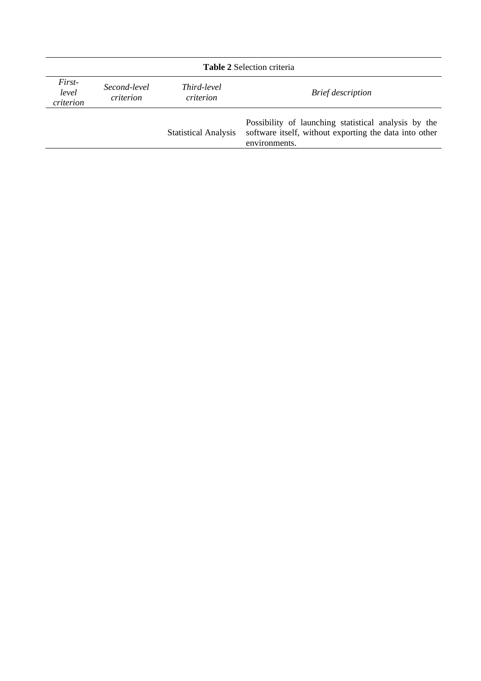| <b>Table 2 Selection criteria</b> |                           |                                 |                                                                                                                                 |  |  |
|-----------------------------------|---------------------------|---------------------------------|---------------------------------------------------------------------------------------------------------------------------------|--|--|
| First-<br>level<br>criterion      | Second-level<br>criterion | <i>Third-level</i><br>criterion | <b>Brief</b> description                                                                                                        |  |  |
|                                   |                           | <b>Statistical Analysis</b>     | Possibility of launching statistical analysis by the<br>software itself, without exporting the data into other<br>environments. |  |  |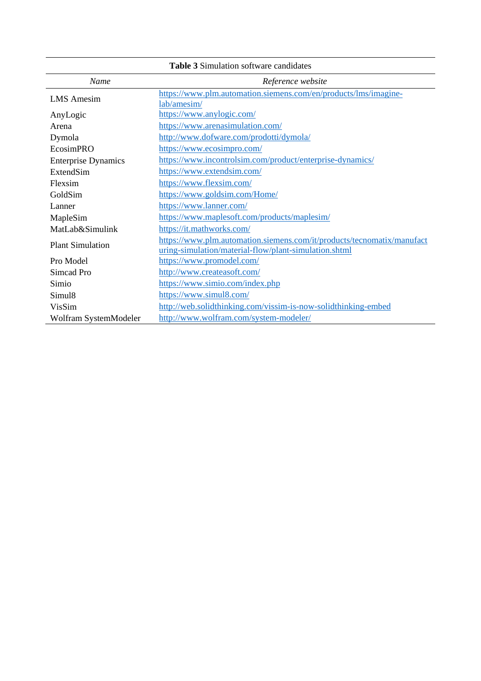| Name                       | Reference website                                                      |
|----------------------------|------------------------------------------------------------------------|
| <b>LMS</b> Amesim          | https://www.plm.automation.siemens.com/en/products/lms/imagine-        |
|                            | lab/amesim/                                                            |
| AnyLogic                   | https://www.anylogic.com/                                              |
| Arena                      | https://www.arenasimulation.com/                                       |
| Dymola                     | http://www.dofware.com/prodotti/dymola/                                |
| EcosimPRO                  | https://www.ecosimpro.com/                                             |
| <b>Enterprise Dynamics</b> | https://www.incontrolsim.com/product/enterprise-dynamics/              |
| ExtendSim                  | https://www.extendsim.com/                                             |
| Flexsim                    | https://www.flexsim.com/                                               |
| GoldSim                    | https://www.goldsim.com/Home/                                          |
| Lanner                     | https://www.lanner.com/                                                |
| MapleSim                   | https://www.maplesoft.com/products/maplesim/                           |
| MatLab&Simulink            | https://it.mathworks.com/                                              |
| <b>Plant Simulation</b>    | https://www.plm.automation.siemens.com/it/products/tecnomatix/manufact |
|                            | uring-simulation/material-flow/plant-simulation.shtml                  |
| Pro Model                  | https://www.promodel.com/                                              |
| Simcad Pro                 | http://www.createasoft.com/                                            |
| Simio                      | https://www.simio.com/index.php                                        |
| Simul <sub>8</sub>         | https://www.simul8.com/                                                |
| VisSim                     | http://web.solidthinking.com/vissim-is-now-solidthinking-embed         |
| Wolfram SystemModeler      | http://www.wolfram.com/system-modeler/                                 |

**Table 3** Simulation software candidates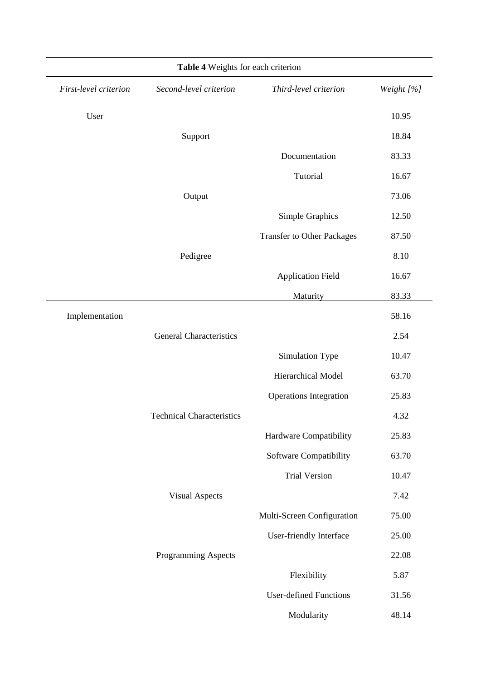|                       | Table 4 Weights for each criterion |                                   |            |
|-----------------------|------------------------------------|-----------------------------------|------------|
| First-level criterion | Second-level criterion             | Third-level criterion             | Weight [%] |
| User                  |                                    |                                   | 10.95      |
|                       | Support                            |                                   | 18.84      |
|                       |                                    | Documentation                     | 83.33      |
|                       |                                    | Tutorial                          | 16.67      |
|                       | Output                             |                                   | 73.06      |
|                       |                                    | Simple Graphics                   | 12.50      |
|                       |                                    | <b>Transfer to Other Packages</b> | 87.50      |
|                       | Pedigree                           |                                   | 8.10       |
|                       |                                    | <b>Application Field</b>          | 16.67      |
|                       |                                    | Maturity                          | 83.33      |
| Implementation        |                                    |                                   | 58.16      |
|                       | <b>General Characteristics</b>     |                                   | 2.54       |
|                       |                                    | Simulation Type                   | 10.47      |
|                       |                                    | Hierarchical Model                | 63.70      |
|                       |                                    | <b>Operations Integration</b>     | 25.83      |
|                       | <b>Technical Characteristics</b>   |                                   | 4.32       |
|                       |                                    | Hardware Compatibility            | 25.83      |
|                       |                                    | Software Compatibility            | 63.70      |
|                       |                                    | <b>Trial Version</b>              | 10.47      |
|                       | <b>Visual Aspects</b>              |                                   | 7.42       |
|                       |                                    | Multi-Screen Configuration        | 75.00      |
|                       |                                    | User-friendly Interface           | 25.00      |
|                       | Programming Aspects                |                                   | 22.08      |
|                       |                                    | Flexibility                       | 5.87       |
|                       |                                    | <b>User-defined Functions</b>     | 31.56      |
|                       |                                    | Modularity                        | 48.14      |